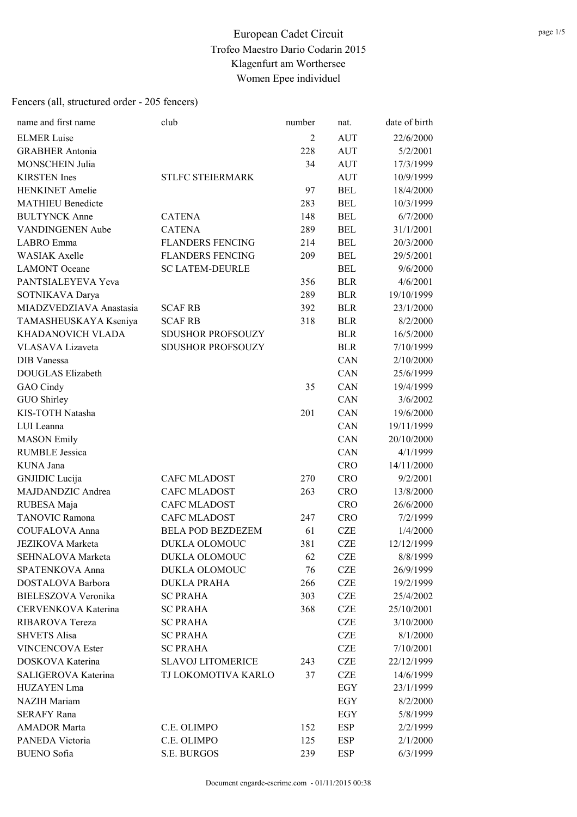| name and first name        | club                     | number         | nat.       | date of birth |
|----------------------------|--------------------------|----------------|------------|---------------|
| <b>ELMER Luise</b>         |                          | $\overline{2}$ | <b>AUT</b> | 22/6/2000     |
| <b>GRABHER Antonia</b>     |                          | 228            | <b>AUT</b> | 5/2/2001      |
| <b>MONSCHEIN Julia</b>     |                          | 34             | <b>AUT</b> | 17/3/1999     |
| <b>KIRSTEN</b> Ines        | <b>STLFC STEIERMARK</b>  |                | <b>AUT</b> | 10/9/1999     |
| <b>HENKINET</b> Amelie     |                          | 97             | <b>BEL</b> | 18/4/2000     |
| <b>MATHIEU Benedicte</b>   |                          | 283            | <b>BEL</b> | 10/3/1999     |
| <b>BULTYNCK Anne</b>       | <b>CATENA</b>            | 148            | <b>BEL</b> | 6/7/2000      |
| VANDINGENEN Aube           | <b>CATENA</b>            | 289            | <b>BEL</b> | 31/1/2001     |
| LABRO Emma                 | <b>FLANDERS FENCING</b>  | 214            | <b>BEL</b> | 20/3/2000     |
| <b>WASIAK Axelle</b>       | <b>FLANDERS FENCING</b>  | 209            | <b>BEL</b> | 29/5/2001     |
| <b>LAMONT</b> Oceane       | <b>SC LATEM-DEURLE</b>   |                | <b>BEL</b> | 9/6/2000      |
| PANTSIALEYEVA Yeva         |                          | 356            | <b>BLR</b> | 4/6/2001      |
| SOTNIKAVA Darya            |                          | 289            | <b>BLR</b> | 19/10/1999    |
| MIADZVEDZIAVA Anastasia    | <b>SCAF RB</b>           | 392            | <b>BLR</b> | 23/1/2000     |
| TAMASHEUSKAYA Kseniya      | <b>SCAF RB</b>           | 318            | <b>BLR</b> | 8/2/2000      |
| KHADANOVICH VLADA          | <b>SDUSHOR PROFSOUZY</b> |                | <b>BLR</b> | 16/5/2000     |
| VLASAVA Lizaveta           | SDUSHOR PROFSOUZY        |                | <b>BLR</b> | 7/10/1999     |
| DIB Vanessa                |                          |                | CAN        | 2/10/2000     |
| <b>DOUGLAS Elizabeth</b>   |                          |                | CAN        | 25/6/1999     |
| GAO Cindy                  |                          | 35             | CAN        | 19/4/1999     |
| GUO Shirley                |                          |                | CAN        | 3/6/2002      |
| KIS-TOTH Natasha           |                          | 201            | CAN        | 19/6/2000     |
| LUI Leanna                 |                          |                | CAN        | 19/11/1999    |
| <b>MASON</b> Emily         |                          |                | CAN        | 20/10/2000    |
| <b>RUMBLE Jessica</b>      |                          |                | CAN        | 4/1/1999      |
| KUNA Jana                  |                          |                | <b>CRO</b> | 14/11/2000    |
| <b>GNJIDIC</b> Lucija      | <b>CAFC MLADOST</b>      | 270            | <b>CRO</b> | 9/2/2001      |
| MAJDANDZIC Andrea          | <b>CAFC MLADOST</b>      | 263            | <b>CRO</b> | 13/8/2000     |
| RUBESA Maja                | <b>CAFC MLADOST</b>      |                | <b>CRO</b> | 26/6/2000     |
| <b>TANOVIC Ramona</b>      | <b>CAFC MLADOST</b>      | 247            | <b>CRO</b> | 7/2/1999      |
| <b>COUFALOVA Anna</b>      | <b>BELA POD BEZDEZEM</b> | 61             | <b>CZE</b> | 1/4/2000      |
| <b>JEZIKOVA</b> Marketa    | <b>DUKLA OLOMOUC</b>     | 381            | <b>CZE</b> | 12/12/1999    |
| SEHNALOVA Marketa          | DUKLA OLOMOUC            | 62             | <b>CZE</b> | 8/8/1999      |
| SPATENKOVA Anna            | DUKLA OLOMOUC            | 76             | <b>CZE</b> | 26/9/1999     |
| DOSTALOVA Barbora          | <b>DUKLA PRAHA</b>       | 266            | <b>CZE</b> | 19/2/1999     |
| <b>BIELESZOVA Veronika</b> | <b>SC PRAHA</b>          | 303            | <b>CZE</b> | 25/4/2002     |
| CERVENKOVA Katerina        | <b>SC PRAHA</b>          | 368            | <b>CZE</b> | 25/10/2001    |
| RIBAROVA Tereza            | <b>SC PRAHA</b>          |                | <b>CZE</b> | 3/10/2000     |
| <b>SHVETS Alisa</b>        | <b>SC PRAHA</b>          |                | <b>CZE</b> | 8/1/2000      |
| <b>VINCENCOVA Ester</b>    | <b>SC PRAHA</b>          |                | <b>CZE</b> | 7/10/2001     |
| DOSKOVA Katerina           | <b>SLAVOJ LITOMERICE</b> | 243            | <b>CZE</b> | 22/12/1999    |
| SALIGEROVA Katerina        | TJ LOKOMOTIVA KARLO      | 37             | <b>CZE</b> | 14/6/1999     |
| HUZAYEN Lma                |                          |                | EGY        | 23/1/1999     |
| <b>NAZIH</b> Mariam        |                          |                | EGY        | 8/2/2000      |
| <b>SERAFY Rana</b>         |                          |                | EGY        | 5/8/1999      |
| <b>AMADOR Marta</b>        | C.E. OLIMPO              | 152            | ESP        | 2/2/1999      |
| PANEDA Victoria            | C.E. OLIMPO              | 125            | ESP        | 2/1/2000      |
| <b>BUENO</b> Sofia         | <b>S.E. BURGOS</b>       | 239            | ESP        | 6/3/1999      |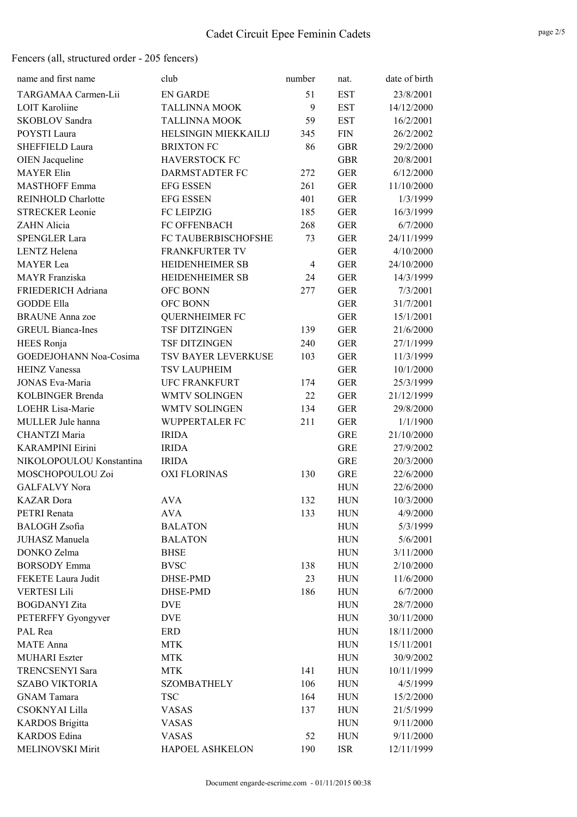| name and first name       | club                   | number         | nat.       | date of birth |
|---------------------------|------------------------|----------------|------------|---------------|
| TARGAMAA Carmen-Lii       | <b>EN GARDE</b>        | 51             | <b>EST</b> | 23/8/2001     |
| <b>LOIT Karoliine</b>     | <b>TALLINNA MOOK</b>   | 9              | <b>EST</b> | 14/12/2000    |
| <b>SKOBLOV</b> Sandra     | <b>TALLINNA MOOK</b>   | 59             | <b>EST</b> | 16/2/2001     |
| POYSTI Laura              | HELSINGIN MIEKKAILIJ   | 345            | <b>FIN</b> | 26/2/2002     |
| SHEFFIELD Laura           | <b>BRIXTON FC</b>      | 86             | <b>GBR</b> | 29/2/2000     |
| <b>OIEN</b> Jacqueline    | <b>HAVERSTOCK FC</b>   |                | <b>GBR</b> | 20/8/2001     |
| <b>MAYER Elin</b>         | DARMSTADTER FC         | 272            | <b>GER</b> | 6/12/2000     |
| <b>MASTHOFF Emma</b>      | <b>EFG ESSEN</b>       | 261            | <b>GER</b> | 11/10/2000    |
| <b>REINHOLD Charlotte</b> | <b>EFG ESSEN</b>       | 401            | <b>GER</b> | 1/3/1999      |
| <b>STRECKER Leonie</b>    | <b>FC LEIPZIG</b>      | 185            | <b>GER</b> | 16/3/1999     |
| ZAHN Alicia               | FC OFFENBACH           | 268            | <b>GER</b> | 6/7/2000      |
| <b>SPENGLER Lara</b>      | FC TAUBERBISCHOFSHE    | 73             | <b>GER</b> | 24/11/1999    |
| <b>LENTZ</b> Helena       | <b>FRANKFURTER TV</b>  |                | <b>GER</b> | 4/10/2000     |
| <b>MAYER</b> Lea          | <b>HEIDENHEIMER SB</b> | $\overline{4}$ | <b>GER</b> | 24/10/2000    |
| <b>MAYR</b> Franziska     | HEIDENHEIMER SB        | 24             | <b>GER</b> | 14/3/1999     |
| FRIEDERICH Adriana        | <b>OFC BONN</b>        | 277            | <b>GER</b> | 7/3/2001      |
| <b>GODDE Ella</b>         | OFC BONN               |                | <b>GER</b> | 31/7/2001     |
| <b>BRAUNE</b> Anna zoe    | <b>QUERNHEIMER FC</b>  |                | <b>GER</b> | 15/1/2001     |
| <b>GREUL Bianca-Ines</b>  | <b>TSF DITZINGEN</b>   | 139            | <b>GER</b> | 21/6/2000     |
| HEES Ronja                | <b>TSF DITZINGEN</b>   | 240            | <b>GER</b> | 27/1/1999     |
| GOEDEJOHANN Noa-Cosima    | TSV BAYER LEVERKUSE    | 103            | <b>GER</b> | 11/3/1999     |
| <b>HEINZ Vanessa</b>      | TSV LAUPHEIM           |                | <b>GER</b> | 10/1/2000     |
| <b>JONAS Eva-Maria</b>    | <b>UFC FRANKFURT</b>   | 174            | <b>GER</b> | 25/3/1999     |
| <b>KOLBINGER Brenda</b>   | WMTV SOLINGEN          | 22             | <b>GER</b> | 21/12/1999    |
| LOEHR Lisa-Marie          | WMTV SOLINGEN          | 134            | <b>GER</b> | 29/8/2000     |
| MULLER Jule hanna         | WUPPERTALER FC         | 211            | <b>GER</b> | 1/1/1900      |
| <b>CHANTZI Maria</b>      | <b>IRIDA</b>           |                | <b>GRE</b> | 21/10/2000    |
| <b>KARAMPINI Eirini</b>   | <b>IRIDA</b>           |                | <b>GRE</b> | 27/9/2002     |
| NIKOLOPOULOU Konstantina  | <b>IRIDA</b>           |                | <b>GRE</b> | 20/3/2000     |
| MOSCHOPOULOU Zoi          | <b>OXI FLORINAS</b>    | 130            | <b>GRE</b> | 22/6/2000     |
| <b>GALFALVY Nora</b>      |                        |                | <b>HUN</b> | 22/6/2000     |
| <b>KAZAR</b> Dora         | <b>AVA</b>             | 132            | <b>HUN</b> | 10/3/2000     |
| PETRI Renata              | <b>AVA</b>             | 133            | <b>HUN</b> | 4/9/2000      |
| <b>BALOGH</b> Zsofia      | <b>BALATON</b>         |                | <b>HUN</b> | 5/3/1999      |
| JUHASZ Manuela            | <b>BALATON</b>         |                | <b>HUN</b> | 5/6/2001      |
| DONKO Zelma               | <b>BHSE</b>            |                | <b>HUN</b> | 3/11/2000     |
| <b>BORSODY</b> Emma       | <b>BVSC</b>            | 138            | <b>HUN</b> | 2/10/2000     |
| FEKETE Laura Judit        | DHSE-PMD               | 23             | <b>HUN</b> | 11/6/2000     |
| <b>VERTESI Lili</b>       | DHSE-PMD               | 186            | <b>HUN</b> | 6/7/2000      |
| <b>BOGDANYI</b> Zita      | <b>DVE</b>             |                | <b>HUN</b> | 28/7/2000     |
| PETERFFY Gyongyver        | <b>DVE</b>             |                | <b>HUN</b> | 30/11/2000    |
| PAL Rea                   | <b>ERD</b>             |                | <b>HUN</b> | 18/11/2000    |
| <b>MATE</b> Anna          | <b>MTK</b>             |                | <b>HUN</b> | 15/11/2001    |
| <b>MUHARI</b> Eszter      | <b>MTK</b>             |                | <b>HUN</b> | 30/9/2002     |
| TRENCSENYI Sara           | <b>MTK</b>             | 141            | <b>HUN</b> | 10/11/1999    |
| <b>SZABO VIKTORIA</b>     | <b>SZOMBATHELY</b>     | 106            | <b>HUN</b> | 4/5/1999      |
| <b>GNAM</b> Tamara        | <b>TSC</b>             | 164            | <b>HUN</b> | 15/2/2000     |
| <b>CSOKNYAI Lilla</b>     | <b>VASAS</b>           | 137            | <b>HUN</b> | 21/5/1999     |
| <b>KARDOS</b> Brigitta    | <b>VASAS</b>           |                | <b>HUN</b> | 9/11/2000     |
| <b>KARDOS</b> Edina       | <b>VASAS</b>           | 52             | <b>HUN</b> | 9/11/2000     |
| MELINOVSKI Mirit          | HAPOEL ASHKELON        | 190            | <b>ISR</b> | 12/11/1999    |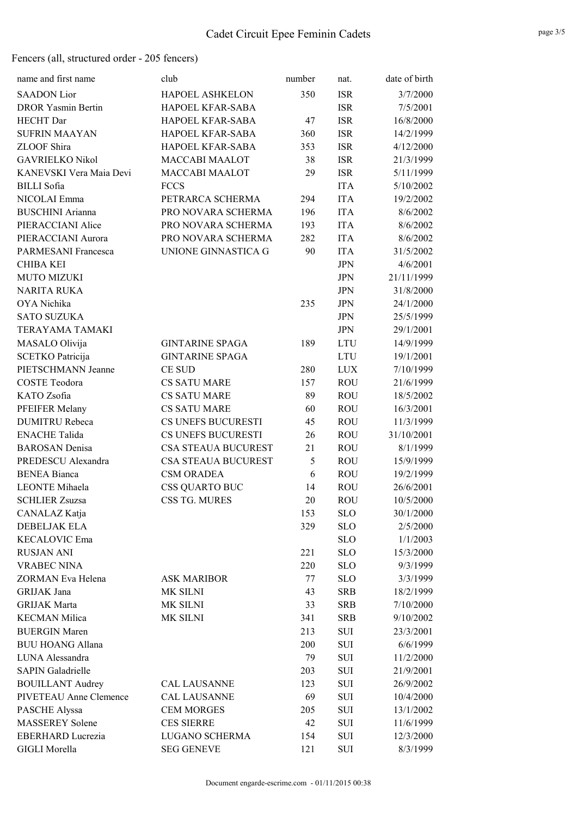| name and first name       | club                       | number | nat.       | date of birth |
|---------------------------|----------------------------|--------|------------|---------------|
| <b>SAADON</b> Lior        | <b>HAPOEL ASHKELON</b>     | 350    | <b>ISR</b> | 3/7/2000      |
| <b>DROR Yasmin Bertin</b> | HAPOEL KFAR-SABA           |        | <b>ISR</b> | 7/5/2001      |
| <b>HECHT</b> Dar          | HAPOEL KFAR-SABA           | 47     | <b>ISR</b> | 16/8/2000     |
| <b>SUFRIN MAAYAN</b>      | HAPOEL KFAR-SABA           | 360    | <b>ISR</b> | 14/2/1999     |
| ZLOOF Shira               | HAPOEL KFAR-SABA           | 353    | <b>ISR</b> | 4/12/2000     |
| <b>GAVRIELKO Nikol</b>    | <b>MACCABI MAALOT</b>      | 38     | <b>ISR</b> | 21/3/1999     |
| KANEVSKI Vera Maia Devi   | <b>MACCABI MAALOT</b>      | 29     | <b>ISR</b> | 5/11/1999     |
| <b>BILLI</b> Sofia        | <b>FCCS</b>                |        | <b>ITA</b> | 5/10/2002     |
| NICOLAI Emma              | PETRARCA SCHERMA           | 294    | <b>ITA</b> | 19/2/2002     |
| <b>BUSCHINI</b> Arianna   | PRO NOVARA SCHERMA         | 196    | <b>ITA</b> | 8/6/2002      |
| PIERACCIANI Alice         | PRO NOVARA SCHERMA         | 193    | <b>ITA</b> | 8/6/2002      |
| PIERACCIANI Aurora        | PRO NOVARA SCHERMA         | 282    | <b>ITA</b> | 8/6/2002      |
| PARMESANI Francesca       | UNIONE GINNASTICA G        | 90     | <b>ITA</b> | 31/5/2002     |
| CHIBA KEI                 |                            |        | <b>JPN</b> | 4/6/2001      |
| <b>MUTO MIZUKI</b>        |                            |        | <b>JPN</b> | 21/11/1999    |
| <b>NARITA RUKA</b>        |                            |        | <b>JPN</b> | 31/8/2000     |
| OYA Nichika               |                            | 235    | <b>JPN</b> | 24/1/2000     |
| <b>SATO SUZUKA</b>        |                            |        | <b>JPN</b> | 25/5/1999     |
| TERAYAMA TAMAKI           |                            |        | <b>JPN</b> | 29/1/2001     |
| MASALO Olivija            | <b>GINTARINE SPAGA</b>     | 189    | <b>LTU</b> | 14/9/1999     |
| <b>SCETKO Patricija</b>   | <b>GINTARINE SPAGA</b>     |        | <b>LTU</b> | 19/1/2001     |
| PIETSCHMANN Jeanne        | <b>CE SUD</b>              | 280    | <b>LUX</b> | 7/10/1999     |
| <b>COSTE Teodora</b>      | <b>CS SATU MARE</b>        | 157    | <b>ROU</b> | 21/6/1999     |
| KATO Zsofia               | <b>CS SATU MARE</b>        | 89     | <b>ROU</b> | 18/5/2002     |
| PFEIFER Melany            | <b>CS SATU MARE</b>        | 60     | <b>ROU</b> | 16/3/2001     |
| <b>DUMITRU Rebeca</b>     | CS UNEFS BUCURESTI         | 45     | <b>ROU</b> | 11/3/1999     |
| <b>ENACHE Talida</b>      | CS UNEFS BUCURESTI         | 26     | <b>ROU</b> | 31/10/2001    |
| <b>BAROSAN</b> Denisa     | <b>CSA STEAUA BUCUREST</b> | 21     | <b>ROU</b> | 8/1/1999      |
| PREDESCU Alexandra        | <b>CSA STEAUA BUCUREST</b> | 5      | <b>ROU</b> | 15/9/1999     |
| <b>BENEA Bianca</b>       | <b>CSM ORADEA</b>          | 6      | <b>ROU</b> | 19/2/1999     |
| <b>LEONTE</b> Mihaela     | <b>CSS QUARTO BUC</b>      | 14     | <b>ROU</b> | 26/6/2001     |
| <b>SCHLIER Zsuzsa</b>     | CSS TG. MURES              | 20     | <b>ROU</b> | 10/5/2000     |
| CANALAZ Katja             |                            | 153    | <b>SLO</b> | 30/1/2000     |
| <b>DEBELJAK ELA</b>       |                            | 329    | <b>SLO</b> | 2/5/2000      |
| <b>KECALOVIC Ema</b>      |                            |        | <b>SLO</b> | 1/1/2003      |
| <b>RUSJAN ANI</b>         |                            | 221    | <b>SLO</b> | 15/3/2000     |
| <b>VRABEC NINA</b>        |                            | 220    | <b>SLO</b> | 9/3/1999      |
| ZORMAN Eva Helena         | <b>ASK MARIBOR</b>         | 77     | <b>SLO</b> | 3/3/1999      |
| GRIJAK Jana               | MK SILNI                   | 43     | <b>SRB</b> | 18/2/1999     |
| <b>GRIJAK Marta</b>       | MK SILNI                   | 33     | <b>SRB</b> | 7/10/2000     |
| <b>KECMAN Milica</b>      | MK SILNI                   | 341    | <b>SRB</b> | 9/10/2002     |
| <b>BUERGIN Maren</b>      |                            | 213    | SUI        | 23/3/2001     |
| <b>BUU HOANG Allana</b>   |                            | 200    | SUI        | 6/6/1999      |
| LUNA Alessandra           |                            | 79     | <b>SUI</b> | 11/2/2000     |
| <b>SAPIN Galadrielle</b>  |                            | 203    | SUI        | 21/9/2001     |
| <b>BOUILLANT Audrey</b>   | <b>CAL LAUSANNE</b>        | 123    | SUI        | 26/9/2002     |
| PIVETEAU Anne Clemence    | <b>CAL LAUSANNE</b>        | 69     | SUI        | 10/4/2000     |
| <b>PASCHE Alyssa</b>      | <b>CEM MORGES</b>          | 205    | <b>SUI</b> | 13/1/2002     |
| <b>MASSEREY Solene</b>    | <b>CES SIERRE</b>          | 42     | SUI        | 11/6/1999     |
| <b>EBERHARD Lucrezia</b>  | LUGANO SCHERMA             | 154    | SUI        | 12/3/2000     |
| <b>GIGLI Morella</b>      | <b>SEG GENEVE</b>          | 121    | SUI        | 8/3/1999      |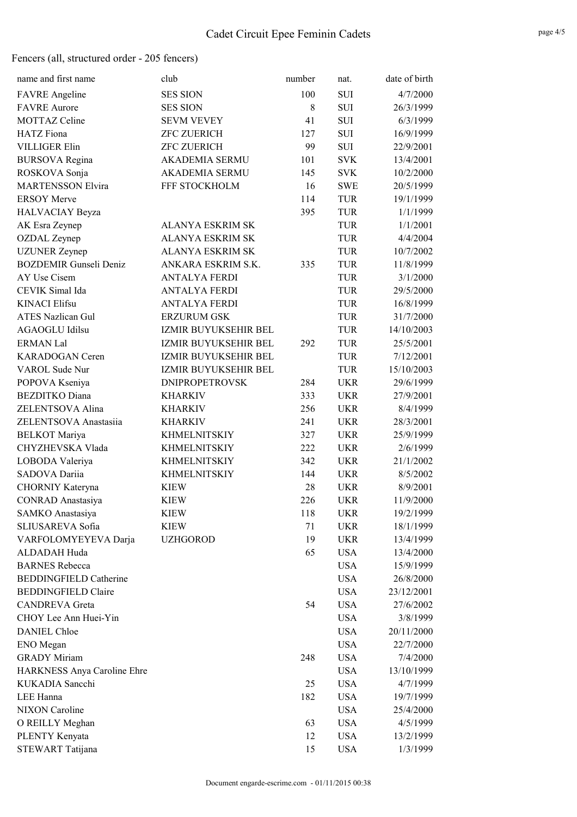| name and first name           | club                    | number | nat.       | date of birth |
|-------------------------------|-------------------------|--------|------------|---------------|
| <b>FAVRE</b> Angeline         | <b>SES SION</b>         | 100    | <b>SUI</b> | 4/7/2000      |
| <b>FAVRE</b> Aurore           | <b>SES SION</b>         | 8      | <b>SUI</b> | 26/3/1999     |
| <b>MOTTAZ Celine</b>          | <b>SEVM VEVEY</b>       | 41     | <b>SUI</b> | 6/3/1999      |
| <b>HATZ</b> Fiona             | <b>ZFC ZUERICH</b>      | 127    | SUI        | 16/9/1999     |
| <b>VILLIGER Elin</b>          | <b>ZFC ZUERICH</b>      | 99     | <b>SUI</b> | 22/9/2001     |
| <b>BURSOVA</b> Regina         | <b>AKADEMIA SERMU</b>   | 101    | <b>SVK</b> | 13/4/2001     |
| ROSKOVA Sonja                 | <b>AKADEMIA SERMU</b>   | 145    | <b>SVK</b> | 10/2/2000     |
| <b>MARTENSSON Elvira</b>      | FFF STOCKHOLM           | 16     | <b>SWE</b> | 20/5/1999     |
| <b>ERSOY Merve</b>            |                         | 114    | <b>TUR</b> | 19/1/1999     |
| <b>HALVACIAY Beyza</b>        |                         | 395    | <b>TUR</b> | 1/1/1999      |
| AK Esra Zeynep                | <b>ALANYA ESKRIM SK</b> |        | <b>TUR</b> | 1/1/2001      |
| <b>OZDAL</b> Zeynep           | <b>ALANYA ESKRIM SK</b> |        | <b>TUR</b> | 4/4/2004      |
| <b>UZUNER</b> Zeynep          | <b>ALANYA ESKRIM SK</b> |        | TUR        | 10/7/2002     |
| <b>BOZDEMIR Gunseli Deniz</b> | ANKARA ESKRIM S.K.      | 335    | <b>TUR</b> | 11/8/1999     |
| AY Use Cisem                  | <b>ANTALYA FERDI</b>    |        | <b>TUR</b> | 3/1/2000      |
| CEVIK Simal Ida               | <b>ANTALYA FERDI</b>    |        | TUR        | 29/5/2000     |
| <b>KINACI</b> Elifsu          | <b>ANTALYA FERDI</b>    |        | TUR        | 16/8/1999     |
| <b>ATES Nazlican Gul</b>      | <b>ERZURUM GSK</b>      |        | <b>TUR</b> | 31/7/2000     |
| <b>AGAOGLU Idilsu</b>         | IZMIR BUYUKSEHIR BEL    |        | <b>TUR</b> | 14/10/2003    |
| <b>ERMAN Lal</b>              | IZMIR BUYUKSEHIR BEL    | 292    | TUR        | 25/5/2001     |
| KARADOGAN Ceren               | IZMIR BUYUKSEHIR BEL    |        | TUR        | 7/12/2001     |
| VAROL Sude Nur                | IZMIR BUYUKSEHIR BEL    |        | TUR        | 15/10/2003    |
| POPOVA Kseniya                | <b>DNIPROPETROVSK</b>   | 284    | <b>UKR</b> | 29/6/1999     |
| <b>BEZDITKO</b> Diana         | <b>KHARKIV</b>          | 333    | <b>UKR</b> | 27/9/2001     |
| ZELENTSOVA Alina              | <b>KHARKIV</b>          | 256    | <b>UKR</b> | 8/4/1999      |
| ZELENTSOVA Anastasiia         | <b>KHARKIV</b>          | 241    | <b>UKR</b> | 28/3/2001     |
| <b>BELKOT</b> Mariya          | <b>KHMELNITSKIY</b>     | 327    | <b>UKR</b> | 25/9/1999     |
| CHYZHEVSKA Vlada              | <b>KHMELNITSKIY</b>     | 222    | <b>UKR</b> | 2/6/1999      |
| LOBODA Valeriya               | <b>KHMELNITSKIY</b>     | 342    | <b>UKR</b> | 21/1/2002     |
| SADOVA Dariia                 | <b>KHMELNITSKIY</b>     | 144    | <b>UKR</b> | 8/5/2002      |
| CHORNIY Kateryna              | <b>KIEW</b>             | 28     | <b>UKR</b> | 8/9/2001      |
| <b>CONRAD</b> Anastasiya      | <b>KIEW</b>             | 226    | <b>UKR</b> | 11/9/2000     |
| SAMKO Anastasiya              | KIEW                    | 118    | <b>UKR</b> | 19/2/1999     |
| SLIUSAREVA Sofia              | <b>KIEW</b>             | 71     | <b>UKR</b> | 18/1/1999     |
| VARFOLOMYEYEVA Darja          | <b>UZHGOROD</b>         | 19     | <b>UKR</b> | 13/4/1999     |
| ALDADAH Huda                  |                         | 65     | <b>USA</b> | 13/4/2000     |
| <b>BARNES</b> Rebecca         |                         |        | <b>USA</b> | 15/9/1999     |
| <b>BEDDINGFIELD Catherine</b> |                         |        | <b>USA</b> | 26/8/2000     |
| <b>BEDDINGFIELD Claire</b>    |                         |        | <b>USA</b> | 23/12/2001    |
| <b>CANDREVA</b> Greta         |                         | 54     | <b>USA</b> | 27/6/2002     |
| CHOY Lee Ann Huei-Yin         |                         |        | <b>USA</b> | 3/8/1999      |
| <b>DANIEL Chloe</b>           |                         |        | <b>USA</b> | 20/11/2000    |
| ENO Megan                     |                         |        | <b>USA</b> | 22/7/2000     |
| <b>GRADY Miriam</b>           |                         | 248    | <b>USA</b> | 7/4/2000      |
| HARKNESS Anya Caroline Ehre   |                         |        | <b>USA</b> | 13/10/1999    |
| KUKADIA Sancchi               |                         | 25     | <b>USA</b> | 4/7/1999      |
| LEE Hanna                     |                         | 182    | <b>USA</b> | 19/7/1999     |
| <b>NIXON</b> Caroline         |                         |        | <b>USA</b> | 25/4/2000     |
| O REILLY Meghan               |                         | 63     | <b>USA</b> | 4/5/1999      |
| PLENTY Kenyata                |                         | 12     | <b>USA</b> | 13/2/1999     |
| STEWART Tatijana              |                         | 15     | <b>USA</b> | 1/3/1999      |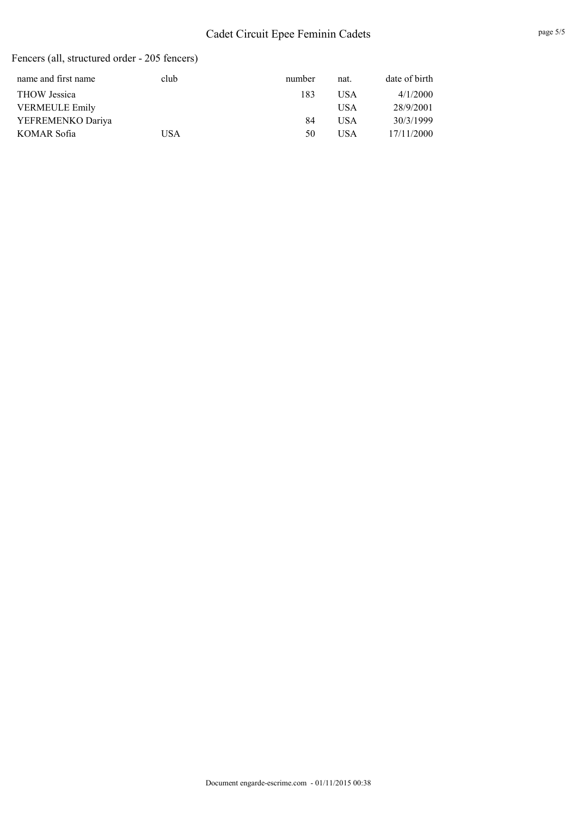# Cadet Circuit Epee Feminin Cadets

| club | number | nat.       | date of birth |
|------|--------|------------|---------------|
|      | 183    | USA        | 4/1/2000      |
|      |        | <b>USA</b> | 28/9/2001     |
|      | 84     | USA        | 30/3/1999     |
| USA  | 50     | USA        | 17/11/2000    |
|      |        |            |               |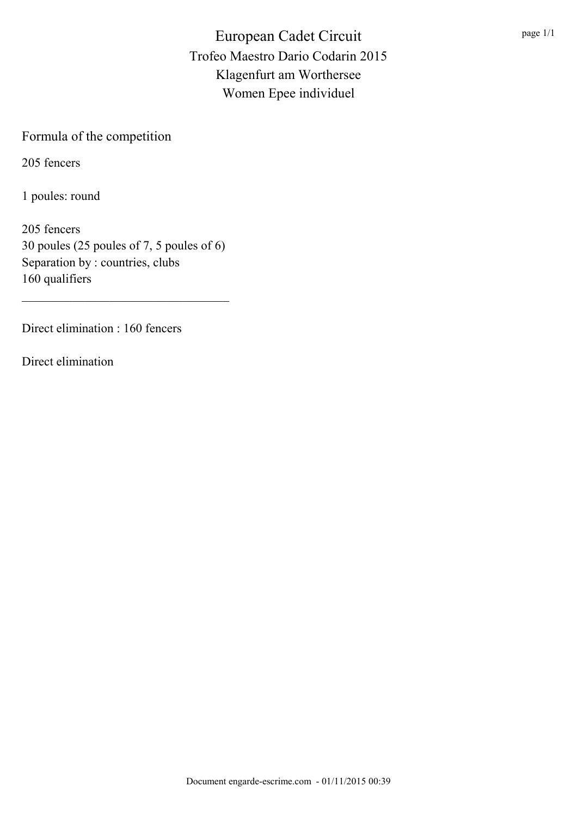## Formula of the competition

205 fencers

1 poules: round

205 fencers 30 poules (25 poules of 7, 5 poules of 6) Separation by : countries, clubs 160 qualifiers

\_\_\_\_\_\_\_\_\_\_\_\_\_\_\_\_\_\_\_\_\_\_\_\_\_\_\_\_\_\_\_\_\_

Direct elimination : 160 fencers

Direct elimination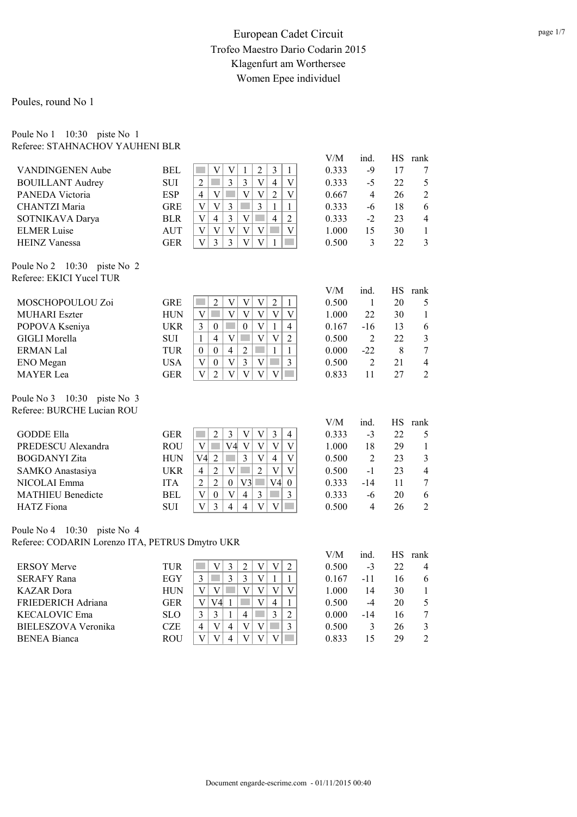#### Poules, round No 1

#### Poule No 1 10:30 piste No 1 Referee: STAHNACHOV YAUHENI BLR

|                                                 |            |                                                                                                                                         | V/M       | ind.           | <b>HS</b> | rank             |
|-------------------------------------------------|------------|-----------------------------------------------------------------------------------------------------------------------------------------|-----------|----------------|-----------|------------------|
| VANDINGENEN Aube                                | <b>BEL</b> | $\overline{3}$<br>$\overline{\mathsf{V}}$<br>$\overline{2}$<br>$\mathbf V$<br>$\mathbf{1}$<br>$\mathbf{1}$                              | 0.333     | $-9$           | 17        | 7                |
| <b>BOUILLANT Audrey</b>                         | <b>SUI</b> | $\overline{3}$<br>$\overline{2}$<br>$\overline{3}$<br>V<br>$\overline{4}$<br>$\mathbf{V}$                                               | 0.333     | $-5$           | 22        | 5                |
| PANEDA Victoria                                 | <b>ESP</b> | $\mathbf V$<br>$\overline{2}$<br>V<br>V<br>$\mathbf{V}$<br>$\overline{4}$                                                               | 0.667     | $\overline{4}$ | 26        | $\overline{2}$   |
| <b>CHANTZI Maria</b>                            | <b>GRE</b> | $\overline{\mathsf{V}}$<br>$\overline{3}$<br>$\overline{3}$<br>V<br>$\mathbf{1}$<br>$\mathbf{1}$                                        | 0.333     | $-6$           | 18        | 6                |
| SOTNIKAVA Darya                                 | <b>BLR</b> | $\overline{3}$<br>$\mathbf V$<br>$\overline{V}$<br>$\overline{4}$<br>$\overline{2}$<br>$\overline{4}$<br><b>Tara</b>                    | 0.333     | $-2$           | 23        | $\overline{4}$   |
| <b>ELMER Luise</b>                              | <b>AUT</b> | $\overline{V}$<br>$\overline{V}$<br>$\mathbf V$<br>$\mathbf V$<br>V<br>٦<br>$\mathbf{V}$                                                | 1.000     | 15             | 30        | $\mathbf{1}$     |
| <b>HEINZ Vanessa</b>                            | <b>GER</b> | $\overline{3}$<br>$\mathbf{V}$<br>$\mathbf V$<br>$\overline{3}$<br>$\mathbf V$<br>$\mathbf{1}$                                          | 0.500     | $\overline{3}$ | 22        | 3                |
| Poule No 2 10:30<br>piste No 2                  |            |                                                                                                                                         |           |                |           |                  |
| Referee: EKICI Yucel TUR                        |            |                                                                                                                                         |           |                |           |                  |
|                                                 |            |                                                                                                                                         | V/M       | ind.           |           | HS rank          |
| MOSCHOPOULOU Zoi                                | <b>GRE</b> | $\overline{2}$<br>$\mathbf V$<br>$\sqrt{2}$<br><b>College</b><br>V<br>V<br>$\mathbf{1}$                                                 | 0.500     | $\mathbf{1}$   | 20        | 5                |
| <b>MUHARI</b> Eszter                            | <b>HUN</b> | $\overline{\mathsf{V}}$<br>$\mathbf V$<br>$\mathbf V$<br>$\mathbf V$<br>$\mathbf V$<br>$\mathbf V$                                      | 1.000     | 22             | 30        | $\mathbf{1}$     |
| POPOVA Kseniya                                  | <b>UKR</b> | $\overline{3}$<br>$\boldsymbol{0}$<br>V<br>$\mathbf{1}$<br>$\overline{4}$<br>$\boldsymbol{0}$<br><b>Side</b>                            | 0.167     | $-16$          | 13        | 6                |
| <b>GIGLI Morella</b>                            | <b>SUI</b> | $\mathbf V$<br>$\overline{4}$<br>$\overline{V}$<br>$\mathbf{V}$<br>$\overline{2}$<br>$\mathbf{1}$<br><b>T</b>                           | 0.500     | $\overline{2}$ | 22        | $\mathfrak{Z}$   |
| <b>ERMAN Lal</b>                                | <b>TUR</b> | $\overline{4}$<br>$\overline{2}$<br>$\mathbf{1}$<br>$\boldsymbol{0}$<br>$\mathcal{L}^{\mathcal{L}}$<br>$\mathbf{1}$<br>$\boldsymbol{0}$ | 0.000     | $-22$          | 8         | $\tau$           |
| ENO Megan                                       | <b>USA</b> | $\overline{3}$<br>$\overline{V}$<br>$\mathbf V$<br>$\overline{3}$<br>$\overline{V}$<br>$\mathbf{0}$<br>$\mathcal{L}^{\text{max}}$       | 0.500     | $\overline{2}$ | 21        | $\overline{4}$   |
| <b>MAYER</b> Lea                                | <b>GER</b> | $\overline{\mathsf{V}}$<br>$\overline{2}$<br>$\overline{\mathsf{V}}$<br>$\overline{V}$<br>$\overline{V}$<br>$\mathbf V$                 | 0.833     | 11             | 27        | $\overline{2}$   |
| Poule No 3 10:30 piste No 3                     |            |                                                                                                                                         |           |                |           |                  |
| Referee: BURCHE Lucian ROU                      |            |                                                                                                                                         |           |                |           |                  |
|                                                 |            |                                                                                                                                         | V/M       | ind.           | <b>HS</b> | rank             |
| <b>GODDE Ella</b>                               | <b>GER</b> | $\overline{3}$<br>$\overline{3}$<br>$\overline{2}$<br>$\mathbf V$<br>V<br>$\overline{4}$                                                | 0.333     | $-3$           | 22        | 5                |
| PREDESCU Alexandra                              | <b>ROU</b> | V <sub>4</sub><br>$\mathbf V$<br>$\overline{V}$<br>$\mathbf V$<br><b>The State</b><br>$\mathbf V$<br>$\mathbf V$                        | 1.000     | 18             | 29        | $\mathbf{1}$     |
| <b>BOGDANYI</b> Zita                            | <b>HUN</b> | $\overline{3}$<br>$\overline{2}$<br>$\overline{\mathbf{V}}$<br>$\overline{4}$<br>$\mathbf V$<br>V4                                      | 0.500     | $\overline{2}$ | 23        | $\mathfrak{Z}$   |
| SAMKO Anastasiya                                | <b>UKR</b> | $\overline{V}$<br>V<br>$\overline{2}$<br>V<br>$\overline{4}$<br>$\overline{2}$                                                          | 0.500     | $-1$           | 23        | $\overline{4}$   |
| NICOLAI Emma                                    | <b>ITA</b> | $\overline{2}$<br>$\mathbf{0}$<br>V4<br>$\overline{2}$<br>V3<br>$\mathcal{L}_{\mathcal{A}}$<br>$\boldsymbol{0}$                         | 0.333     | $-14$          | 11        | $\boldsymbol{7}$ |
| <b>MATHIEU Benedicte</b>                        | <b>BEL</b> | $\overline{V}$<br>$\overline{V}$<br>$\overline{4}$<br>$\overline{3}$<br>$\mathbf{0}$<br>$\overline{3}$<br>$\mathcal{O}(\mathbb{R}^d)$   | 0.333     | $-6$           | 20        | 6                |
| <b>HATZ</b> Fiona                               | <b>SUI</b> | $\overline{4}$<br>$\overline{V}$<br>$\overline{3}$<br>$\overline{V}$<br>$\overline{V}$<br>$\overline{4}$                                | 0.500     | $\overline{4}$ | 26        | $\overline{2}$   |
| Poule No 4 10:30 piste No 4                     |            |                                                                                                                                         |           |                |           |                  |
| Referee: CODARIN Lorenzo ITA, PETRUS Dmytro UKR |            |                                                                                                                                         |           |                |           |                  |
|                                                 |            |                                                                                                                                         | $\rm V/M$ | ind.           | <b>HS</b> | rank             |
| <b>ERSOY Merve</b>                              | <b>TUR</b> | 3<br>$\overline{2}$<br>$\mathbf V$<br>$\sqrt{2}$<br>a s<br>V<br>V                                                                       | 0.500     | $-3$           | 22        | $\overline{4}$   |
| <b>SERAFY Rana</b>                              | <b>EGY</b> | $\overline{3}$<br>$\overline{3}$<br>$\mathbf{1}$<br>$\overline{3}$<br>$\mathbf V$<br>$\mathbf{1}$                                       | 0.167     | $-11$          | 16        | 6                |
| <b>KAZAR</b> Dora                               | <b>HUN</b> | $\overline{\mathbf{V}}$<br>$\mathbf{V}$<br>$\overline{V}$<br>$\overline{V}$<br>$\overline{V}$<br>$\mathbf{V}$<br><b>College</b>         | 1.000     | 14             | 30        | 1                |

KAZAR Dora HUN V V V V V V 1.000 14 30 1 FRIEDERICH Adriana GER  $V | V4 | 1 | V | 4 | 1$  0.500 -4 20 5<br>KECALOVIC Ema SLO 3 3 1 4 3 2 0.000 -14 16 7  $KECALOVIC Ema$ <br>BIELESZOVA Veronika CZE 4 V 4 V V <sup>3</sup> BIELESZOVA Veronika CZE 4 V 4 V V 3 0.500 3 26 3 BENEA Bianca ROU V V 4 V V V 0.833 15 29 2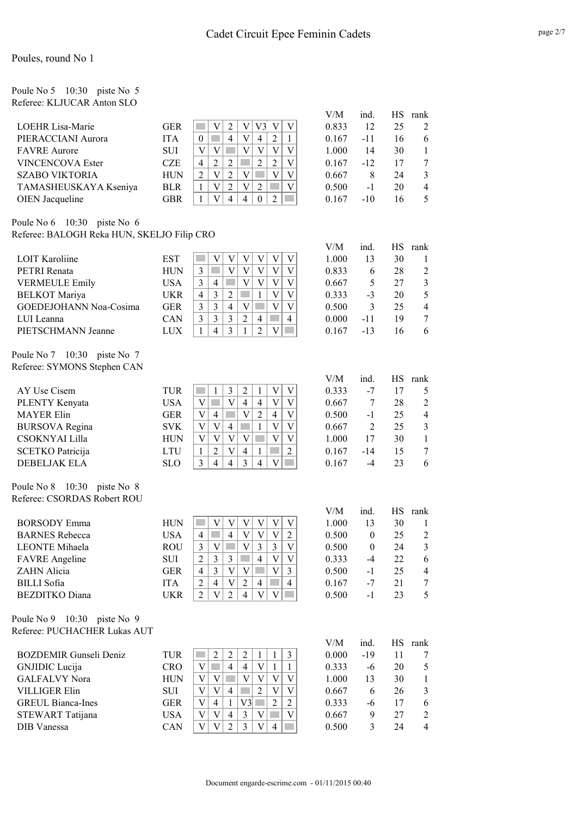| Poule No 5                 | 10:30 | piste No 5 |  |
|----------------------------|-------|------------|--|
| Referee: KLJUCAR Anton SLO |       |            |  |

|                         |            |   |   |          |   |          |   |   | V/M   | ind.  | НS | rank           |
|-------------------------|------------|---|---|----------|---|----------|---|---|-------|-------|----|----------------|
| <b>LOEHR Lisa-Marie</b> | <b>GER</b> |   |   |          |   |          |   |   | 0.833 | 12    | 25 | 2              |
| PIERACCIANI Aurora      | <b>ITA</b> |   |   | 4        | V | 4        |   |   | 0.167 | -11   | 16 | 6              |
| <b>FAVRE</b> Aurore     | <b>SUI</b> | V |   |          |   |          | V |   | 1.000 | 14    | 30 |                |
| <b>VINCENCOVA Ester</b> | CZE        | 4 | 2 |          |   | 2        |   | V | 0.167 | $-12$ | 17 | 7              |
| <b>SZABO VIKTORIA</b>   | <b>HUN</b> |   | V |          |   |          |   |   | 0.667 | 8     | 24 | 3              |
| TAMASHEUSKAYA Kseniya   | <b>BLR</b> |   | V |          |   | っ        |   |   | 0.500 | $-1$  | 20 | $\overline{4}$ |
| <b>OIEN</b> Jacqueline  | GBR        |   |   | $\Delta$ |   | $\Omega$ |   |   | 0.167 | $-10$ | 16 | 5.             |

#### Poule No 6 10:30 piste No 6 Referee: BALOGH Reka HUN, SKELJO Filip CRO

|                                   |            |                                                                                                                                                                  | V/M                  | ind.             | HS              | rank                    |
|-----------------------------------|------------|------------------------------------------------------------------------------------------------------------------------------------------------------------------|----------------------|------------------|-----------------|-------------------------|
| <b>LOIT Karoliine</b>             | <b>EST</b> | $\overline{\mathsf{V}}$<br>$\overline{V}$<br><b>Tara</b><br>V<br>$\overline{\mathsf{V}}$<br>V<br>$\ensuremath{\mathsf{V}}$                                       | 1.000                | 13               | 30              | $\mathbf{1}$            |
| PETRI Renata                      | <b>HUN</b> | $\overline{\mathsf{V}}$<br>$\overline{\mathsf{V}}$<br>$\overline{V}$<br>$\overline{\mathsf{V}}$<br>$\overline{V}$<br>3                                           | 0.833                | 6                | 28              | $\overline{2}$          |
| <b>VERMEULE Emily</b>             | <b>USA</b> | $\bar{V}$<br>$\overline{\mathsf{V}}$<br>3<br>$\mathbf V$<br>$\mathbf{V}$<br>$\overline{4}$                                                                       | 0.667                | 5                | 27              | $\overline{\mathbf{3}}$ |
| <b>BELKOT</b> Mariya              | <b>UKR</b> | $\overline{\mathbf{V}}$<br>$\overline{3}$<br>$\overline{2}$<br>$\overline{V}$<br>$\overline{4}$<br>$\mathbf{1}$                                                  | 0.333                | $-3$             | 20              | 5                       |
| GOEDEJOHANN Noa-Cosima            | <b>GER</b> | $\overline{3}$<br>$\ensuremath{\mathbf{V}}$<br><b>COL</b><br>$\overline{V}$<br>$\overline{V}$<br>$\overline{3}$<br>$\overline{4}$                                | 0.500                | 3                | 25              | $\overline{4}$          |
| LUI Leanna                        | CAN        | $\overline{3}$<br>$\overline{\mathbf{3}}$<br>$\overline{2}$<br>$\mathcal{L}^{\mathcal{L}}$<br>$\overline{3}$<br>$\overline{4}$<br>$\overline{4}$                 | 0.000                | $-11$            | 19              | $\tau$                  |
| PIETSCHMANN Jeanne                | <b>LUX</b> | $\overline{3}$<br>$\overline{4}$<br>$\overline{2}$<br>$\overline{\mathsf{V}}$<br>$\mathbf{1}$<br>$\mathbf{1}$<br>$\mathcal{O}(\mathbb{R}^d)$                     | 0.167                | $-13$            | 16              | 6                       |
| Poule No 7<br>10:30 piste No $7$  |            |                                                                                                                                                                  |                      |                  |                 |                         |
| Referee: SYMONS Stephen CAN       |            |                                                                                                                                                                  |                      |                  |                 |                         |
| AY Use Cisem                      | TUR        | $\overline{2}$<br>$\overline{\mathsf{V}}$<br>$\mathcal{O}(\mathbb{R}^d)$<br>$\mathbf{1}$<br>3<br>$\mathbf{1}$<br>$\ensuremath{\mathsf{V}}$                       | V/M<br>0.333         | ind.<br>$-7$     | <b>HS</b><br>17 | rank<br>5               |
| PLENTY Kenyata                    | <b>USA</b> | $\mathbf V$<br>$\overline{V}$<br>$\overline{4}$<br>$\overline{4}$<br>$\overline{\mathsf{V}}$<br>$\mathbf V$                                                      | 0.667                | 7                | 28              | $\sqrt{2}$              |
| <b>MAYER Elin</b>                 | <b>GER</b> | $\overline{V}$<br>$\overline{2}$<br>$\overline{4}$<br>$\overline{V}$<br>V<br>$\overline{4}$                                                                      | 0.500                | $-1$             | 25              | $\overline{4}$          |
| <b>BURSOVA</b> Regina             | <b>SVK</b> | $\overline{\mathsf{V}}$<br>$\mathbf V$<br>$\mathbf V$<br>$\overline{4}$<br>$\overline{V}$<br>$\mathbf{1}$                                                        | 0.667                | $\overline{2}$   | 25              | $\mathfrak{Z}$          |
| CSOKNYAI Lilla                    | <b>HUN</b> | $\overline{\mathbf{V}}$<br>$\overline{V}$<br>$\overline{V}$<br>$\overline{\mathsf{V}}$<br>$\overline{\mathbf{V}}$<br>T.<br>$\overline{V}$                        | 1.000                | 17               | 30              | $\mathbf{1}$            |
| <b>SCETKO Patricija</b>           | <b>LTU</b> | $\overline{2}$<br>$\overline{2}$<br>$\overline{V}$<br>$\overline{4}$<br><b>College</b><br>$\mathbf{1}$<br>$\mathbf{1}$                                           | 0.167                | $-14$            | 15              | $\boldsymbol{7}$        |
| <b>DEBELJAK ELA</b>               | <b>SLO</b> | $\overline{3}$<br>$\overline{\mathsf{V}}$<br>$\overline{3}$<br>$\overline{4}$<br>$\overline{4}$<br>$\overline{4}$<br><b>Tara</b>                                 | 0.167                | $-4$             | 23              | 6                       |
| Poule No 8<br>10:30<br>piste No 8 |            |                                                                                                                                                                  |                      |                  |                 |                         |
| Referee: CSORDAS Robert ROU       |            |                                                                                                                                                                  |                      |                  |                 |                         |
|                                   |            |                                                                                                                                                                  | V/M                  | ind.             | <b>HS</b>       | rank                    |
| <b>BORSODY</b> Emma               | <b>HUN</b> | $\overline{V}$<br>$\overline{\mathsf{V}}$<br>$\ensuremath{\mathbf{V}}$<br>$\overline{\mathsf{V}}$<br>$\overline{\mathsf{V}}$<br>$\overline{V}$<br><b>College</b> | 1.000                | 13               | 30              | $\mathbf{1}$            |
| <b>BARNES</b> Rebecca             | <b>USA</b> | p.<br>$\overline{4}$<br>$\overline{\mathsf{V}}$<br>$\overline{\mathsf{V}}$<br>$\boldsymbol{2}$<br>$\overline{4}$<br>$\mathbf{V}$                                 | 0.500                | $\boldsymbol{0}$ | 25              | $\sqrt{2}$              |
| <b>LEONTE</b> Mihaela             | <b>ROU</b> | $\overline{\mathsf{V}}$<br>$\overline{3}$<br>$\overline{3}$<br>τ<br>$\mathfrak{Z}$<br>$\ensuremath{\mathsf{V}}$<br>$\mathbf V$                                   | 0.500                | $\boldsymbol{0}$ | 24              | $\mathfrak{Z}$          |
| <b>FAVRE</b> Angeline             | <b>SUI</b> | $\overline{2}$<br>$\overline{3}$<br>$\overline{3}$<br>$\overline{4}$<br>$\overline{V}$<br>$\overline{V}$                                                         | 0.333                | $-4$             | 22              | 6                       |
| <b>ZAHN</b> Alicia                | <b>GER</b> | $\overline{3}$<br>$\overline{V}$<br>$\overline{\mathbf{V}}$<br>$\overline{V}$<br>$\overline{3}$<br>$\overline{4}$                                                | 0.500                | $-1$             | 25              | $\overline{4}$          |
| <b>BILLI</b> Sofia                | <b>ITA</b> | $\overline{2}$<br>$\overline{4}$<br>$\overline{\mathsf{V}}$<br><b>College</b><br>$\overline{4}$<br>$\overline{2}$<br>$\overline{4}$                              | 0.167                | $-7$             | 21              | $\tau$                  |
| <b>BEZDITKO</b> Diana             | <b>UKR</b> | $\overline{V}$<br>$\overline{2}$<br>$\overline{4}$<br>$\overline{\mathsf{V}}$<br>$\overline{\mathsf{V}}$<br>$\overline{2}$                                       | 0.500                | $-1$             | 23              | 5                       |
| Poule No 9 10:30 piste No 9       |            |                                                                                                                                                                  |                      |                  |                 |                         |
| Referee: PUCHACHER Lukas AUT      |            |                                                                                                                                                                  |                      |                  |                 |                         |
| <b>BOZDEMIR Gunseli Deniz</b>     | <b>TUR</b> | $\overline{2}$<br>$\overline{c}$<br>$\overline{2}$<br>3<br>$\mathbf{1}$<br>$\mathbf{1}$<br>$\sim$                                                                | ${\rm V/M}$<br>0.000 | ind.<br>$-19$    | <b>HS</b><br>11 | rank<br>$\tau$          |
| GNJIDIC Lucija                    | <b>CRO</b> | $\mathbf{V}$<br>$\overline{4}$<br>$\overline{4}$<br><b>T</b><br>$\mathbf V$<br>$\mathbf{1}$<br>$\mathbf{1}$                                                      | 0.333                | $-6$             | 20              | 5                       |
| <b>GALFALVY Nora</b>              | <b>HUN</b> | $\overline{\mathsf{V}}$<br>$\mathbf V$<br>$\mathbf V$<br>$\overline{\mathsf{V}}$<br>$\mathbf V$<br>$\ensuremath{\mathbf{V}}$                                     | 1.000                | 13               | 30              | $\mathbf{1}$            |
| <b>VILLIGER Elin</b>              | SUI        | $\overline{\mathsf{V}}$<br>$\overline{\mathsf{V}}$<br>$\mathbf V$<br>$\overline{4}$<br>$\overline{2}$<br>$\mathbf V$<br><b>Tara</b>                              | 0.667                | 6                | 26              | $\overline{3}$          |
| <b>GREUL Bianca-Ines</b>          | <b>GER</b> | $\overline{2}$<br>$\mathbf V$<br>$\overline{4}$<br>V <sub>3</sub><br>$\overline{2}$<br>$\mathbf{1}$<br>$\mathcal{L}^{\mathcal{L}}$                               | 0.333                | -6               | 17              | 6                       |
| STEWART Tatijana                  | <b>USA</b> | $\mathbf V$<br>$\overline{4}$<br>$\overline{3}$<br><b>The State</b><br>$\overline{V}$<br>$\mathbf V$<br>V                                                        | 0.667                | 9                | 27              | $\overline{2}$          |
| DIB Vanessa                       | <b>CAN</b> | $\overline{V}$<br>$\overline{V}$<br>$\overline{2}$<br>$\overline{3}$<br>$\overline{\mathsf{V}}$<br>$\overline{4}$<br><b>Tara</b>                                 | 0.500                | 3                | 24              | $\overline{4}$          |
|                                   |            |                                                                                                                                                                  |                      |                  |                 |                         |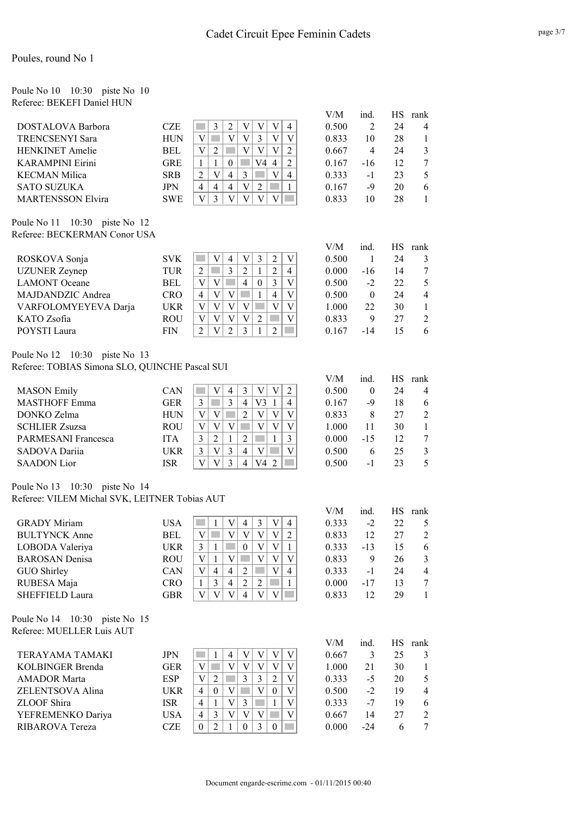#### Poule No 10 10:30 piste No 10 Referee: BEKEFI Daniel HUN

|                          |            |   |   |   |    |                |   | V/M   | ind. | НS | rank           |
|--------------------------|------------|---|---|---|----|----------------|---|-------|------|----|----------------|
|                          |            |   |   |   |    |                |   |       |      |    |                |
| DOSTALOVA Barbora        | CZE        |   |   |   |    |                |   | 0.500 |      | 24 | $\overline{4}$ |
| <b>TRENCSENYI Sara</b>   | HUN        |   |   |   |    |                |   | 0.833 | 10   | 28 |                |
| <b>HENKINET</b> Amelie   | BEL        | V |   |   |    |                |   | 0.667 | 4    | 24 | $\mathcal{R}$  |
| <b>KARAMPINI Eirini</b>  | GRE        |   |   |   | V4 | $\overline{4}$ |   | 0.167 | -16  | 12 |                |
| <b>KECMAN Milica</b>     | <b>SRB</b> |   |   | 4 |    |                | 4 | 0.333 | $-1$ | 23 | 5.             |
| <b>SATO SUZUKA</b>       | JPN        | 4 | 4 | 4 |    |                |   | 0.167 | -9   | 20 | 6              |
| <b>MARTENSSON Elvira</b> | SWE        |   |   |   |    |                |   | 0.833 | 10   | 28 |                |

Poule No 11 10:30 piste No 12 Referee: BECKERMAN Conor USA

|                          |            |   |   |   |          |   |   | V/M   | 1nd      | НS | rank |
|--------------------------|------------|---|---|---|----------|---|---|-------|----------|----|------|
| ROSKOVA Sonja            | <b>SVK</b> |   | 4 | V |          |   |   | 0.500 |          | 24 |      |
| <b>UZUNER</b> Zeynep     | TUR        |   | 3 | າ |          |   | 4 | 0.000 | $-16$    | 14 |      |
| <b>LAMONT</b> Oceane     | BEL        | V |   | 4 | $\left($ |   |   | 0.500 | -2       | 22 |      |
| <b>MAJDANDZIC Andrea</b> | CRO        | V |   |   |          | 4 |   | 0.500 | $\theta$ | 24 | 4    |
| VARFOLOMYEYEVA Darja     | <b>UKR</b> | V |   |   |          |   |   | 1.000 | 22       | 30 |      |
| KATO Zsofia              | ROU        |   |   |   |          |   |   | 0.833 | 9        | 27 |      |
| POYSTI Laura             | FIN        | V |   | 2 |          |   |   | 0.167 | -14      |    |      |

Poule No 12 10:30 piste No 13 Referee: TOBIAS Simona SLO, QUINCHE Pascal SUI

|                       |            |   |   |   |    |   |   | V/M   | ind.  | НS | rank                        |
|-----------------------|------------|---|---|---|----|---|---|-------|-------|----|-----------------------------|
| <b>MASON</b> Emily    | CAN        |   | 4 |   |    | V | າ | 0.500 | 0     | 24 | 4                           |
| <b>MASTHOFF Emma</b>  | <b>GER</b> |   | 3 | 4 | V3 |   | 4 | 0.167 | -9    | 18 | 6                           |
| DONKO Zelma           | <b>HUN</b> |   |   | 2 |    | V | V | 0.833 | 8     | 27 | $\mathcal{D}_{\mathcal{A}}$ |
| <b>SCHLIER Zsuzsa</b> | ROU        |   |   |   |    | V | V | 1.000 | 11    | 30 |                             |
| PARMESANI Francesca   | <b>ITA</b> | າ |   |   |    |   | 3 | 0.000 | $-15$ | 12 |                             |
| SADOVA Dariia         | UKR        | V |   | 4 |    |   |   | 0.500 | 6     | 25 |                             |
| <b>SAADON</b> Lior    | ISR        |   |   | 4 | V4 |   |   | 0.500 | - 1   | つろ |                             |

#### Poule No 13 10:30 piste No 14 Referee: VILEM Michal SVK, LEITNER Tobias AUT

|                       |            |   |   |                |   |   |   | V/M   | ind.  | НS | rank           |
|-----------------------|------------|---|---|----------------|---|---|---|-------|-------|----|----------------|
| <b>GRADY Miriam</b>   | USA        |   | V | 4              | 3 | V | 4 | 0.333 | $-2$  | 22 |                |
| <b>BULTYNCK Anne</b>  | BEL        |   |   |                |   | V |   | 0.833 | 12    | 27 | 2              |
| LOBODA Valeriya       | <b>UKR</b> |   |   | 0              | V | V |   | 0.333 | $-13$ | 15 | 6              |
| <b>BAROSAN</b> Denisa | <b>ROU</b> |   |   |                |   | V |   | 0.833 | 9     | 26 | $\mathcal{E}$  |
| GUO Shirley           | CAN        | 4 | 4 | $\overline{c}$ |   | V | 4 | 0.333 | $-1$  | 24 | $\overline{4}$ |
| RUBESA Maja           | CRO        | 3 | 4 |                | 2 |   |   | 0.000 | -17   | 13 |                |
| SHEFFIELD Laura       | GBR        |   |   |                |   |   |   | 0.833 | 12    | 29 |                |
|                       |            |   |   |                |   |   |   |       |       |    |                |

Poule No 14 10:30 piste No 15 Referee: MUELLER Luis AUT

|                         |            |   |          |   |  |  | V/M   | ind.  | НS | rank |
|-------------------------|------------|---|----------|---|--|--|-------|-------|----|------|
| TERAYAMA TAMAKI         | JPN        |   |          | 4 |  |  | 0.667 |       | 25 |      |
| <b>KOLBINGER Brenda</b> | <b>GER</b> |   |          |   |  |  | 1.000 | 21    | 30 |      |
| <b>AMADOR Marta</b>     | ESP        | V |          |   |  |  | 0.333 | $-5$  | 20 |      |
| ZELENTSOVA Alina        | <b>UKR</b> |   | $\theta$ |   |  |  | 0.500 | -2    | 19 |      |
| ZLOOF Shira             | <b>ISR</b> |   |          |   |  |  | 0.333 | -7    | 19 |      |
| YEFREMENKO Dariya       | USA        | 4 |          |   |  |  | 0.667 | 14    | 27 |      |
| RIBAROVA Tereza         | CZE        |   |          |   |  |  | 0.000 | $-24$ |    |      |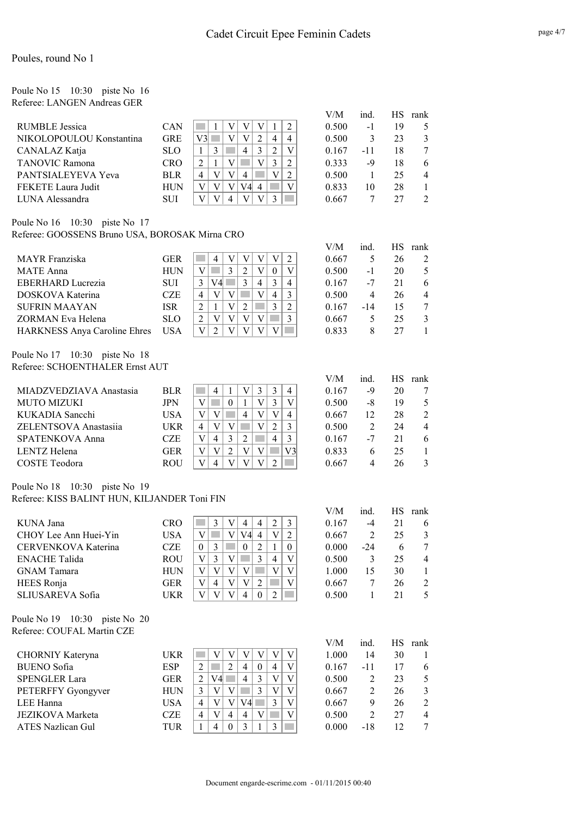| Poule No $15 \quad 10:30 \quad \text{piste No} \quad 16$ |  |  |
|----------------------------------------------------------|--|--|
| Referee: LANGEN Andreas GER                              |  |  |

|                          |            |     |  |    |                |   |   | V/M   | ind. | НS | rank           |
|--------------------------|------------|-----|--|----|----------------|---|---|-------|------|----|----------------|
| <b>RUMBLE Jessica</b>    | CAN        |     |  |    |                |   |   | 0.500 | -1   | 19 |                |
| NIKOLOPOULOU Konstantina | <b>GRE</b> | V31 |  |    | 2              | 4 | 4 | 0.500 | 3    | 23 | 3              |
| CANALAZ Katja            | <b>SLO</b> |     |  | 4  | 3              |   | V | 0.167 | -11  | 18 | 7              |
| <b>TANOVIC Ramona</b>    | CRO        |     |  |    | V              |   | ∍ | 0.333 | -9   | 18 | 6              |
| PANTSIALEYEVA Yeva       | <b>BLR</b> | 4   |  | 4  |                |   |   | 0.500 |      | 25 | $\overline{4}$ |
| FEKETE Laura Judit       | <b>HUN</b> | V   |  | V4 | $\overline{4}$ |   | V | 0.833 | 10   | 28 |                |
| LUNA Alessandra          | <b>SUI</b> |     |  |    |                |   |   | 0.667 |      | 27 | $\mathcal{L}$  |

#### Poule No 16 10:30 piste No 17 Referee: GOOSSENS Bruno USA, BOROSAK Mirna CRO

|                                     |            |   |    |   |   |          |   | V/M   | ind.  | НS | rank |
|-------------------------------------|------------|---|----|---|---|----------|---|-------|-------|----|------|
| MAYR Franziska                      | <b>GER</b> |   | 4  |   |   |          |   | 0.667 |       | 26 |      |
| <b>MATE</b> Anna                    | <b>HUN</b> |   |    |   |   | $\theta$ |   | 0.500 | $-1$  | 20 |      |
| <b>EBERHARD Lucrezia</b>            | <b>SUI</b> |   | V4 | 3 | 4 |          | 4 | 0.167 | $-7$  | 21 | 6    |
| DOSKOVA Katerina                    | <b>CZE</b> | 4 |    |   |   | 4        | 3 | 0.500 | 4     | 26 | 4    |
| <b>SUFRIN MAAYAN</b>                | ISR        |   |    |   |   |          | 2 | 0.167 | $-14$ | 15 |      |
| ZORMAN Eva Helena                   | <b>SLO</b> |   |    |   |   |          | 3 | 0.667 |       | 25 |      |
| <b>HARKNESS Anya Caroline Ehres</b> | <b>USA</b> |   |    |   |   |          |   | 0.833 | 8     |    |      |

Poule No 17 10:30 piste No 18 Referee: SCHOENTHALER Ernst AUT

|                         |            |   |   |   |   |   |              | V/M   | ind. | НS | rank           |
|-------------------------|------------|---|---|---|---|---|--------------|-------|------|----|----------------|
| MIADZVEDZIAVA Anastasia | <b>BLR</b> |   | 4 |   |   |   | 4            | 0.167 | -9   | 20 |                |
| <b>MUTO MIZUKI</b>      | JPN        |   |   |   | V |   |              | 0.500 | -8   | 19 |                |
| KUKADIA Sancchi         | USA        |   |   | 4 | V |   | 4            | 0.667 | 12   | 28 | 2              |
| ZELENTSOVA Anastasiia   | UKR        | 4 |   |   | V | ∍ |              | 0.500 |      | 24 | $\overline{4}$ |
| <b>SPATENKOVA Anna</b>  | CZE        |   | 4 |   |   | 4 | $\mathbf{3}$ | 0.167 | -7   | 21 | 6              |
| <b>LENTZ</b> Helena     | GER        |   |   |   |   |   | V3           | 0.833 | 6    | 25 |                |
| <b>COSTE</b> Teodora    | ROU        |   | 4 |   |   |   |              | 0.667 | 4    | 26 |                |

#### Poule No 18 10:30 piste No 19 Referee: KISS BALINT HUN, KILJANDER Toni FIN

|                       |            |   |   |    |          |   |          | V/M   | ind. | НS | rank |
|-----------------------|------------|---|---|----|----------|---|----------|-------|------|----|------|
| KUNA Jana             | CRO        |   | V | 4  | 4        |   |          | 0.167 | -4   | 21 | 6    |
| CHOY Lee Ann Huei-Yin | <b>USA</b> |   | V | V4 | 4        | V | າ        | 0.667 | 2    | 25 | 3    |
| CERVENKOVA Katerina   | CZE        | 3 |   | 0  | 2        |   | $\theta$ | 0.000 | -24  | 6  |      |
| <b>ENACHE</b> Talida  | <b>ROU</b> | 3 |   |    | 3        | 4 | V        | 0.500 | 3    | 25 | 4    |
| <b>GNAM</b> Tamara    | <b>HUN</b> |   |   |    |          |   |          | 1.000 | 15   | 30 |      |
| HEES Ronja            | GER        | 4 | V |    | າ        |   |          | 0.667 |      | 26 | 2    |
| SLIUSAREVA Sofia      | UKR        |   |   |    | $\Omega$ |   |          | 0.500 |      |    |      |

Poule No 19 10:30 piste No 20 Referee: COUFAL Martin CZE

|                      |            |   |    |          |    |   |  | V/M   | ind. | НS | rank |
|----------------------|------------|---|----|----------|----|---|--|-------|------|----|------|
| CHORNIY Kateryna     | UKR        |   |    |          |    |   |  | 1.000 | 14   | 30 |      |
| BUENO Sofia          | <b>ESP</b> |   |    | 2        | 4  | 4 |  | 0.167 | -11  | 17 |      |
| <b>SPENGLER Lara</b> | GER        |   | V4 |          | 4  |   |  | 0.500 |      | 23 |      |
| PETERFFY Gyongyver   | <b>HUN</b> |   |    |          |    |   |  | 0.667 |      | 26 |      |
| LEE Hanna            | USA        | 4 |    |          | V4 |   |  | 0.667 | 9    | 26 |      |
| JEZIKOVA Marketa     | CZE        | 4 |    | 4        | 4  |   |  | 0.500 |      | 27 |      |
| ATES Nazlican Gul    | TUR        |   | 4  | $\Omega$ |    |   |  | 0.000 | -18  | 12 |      |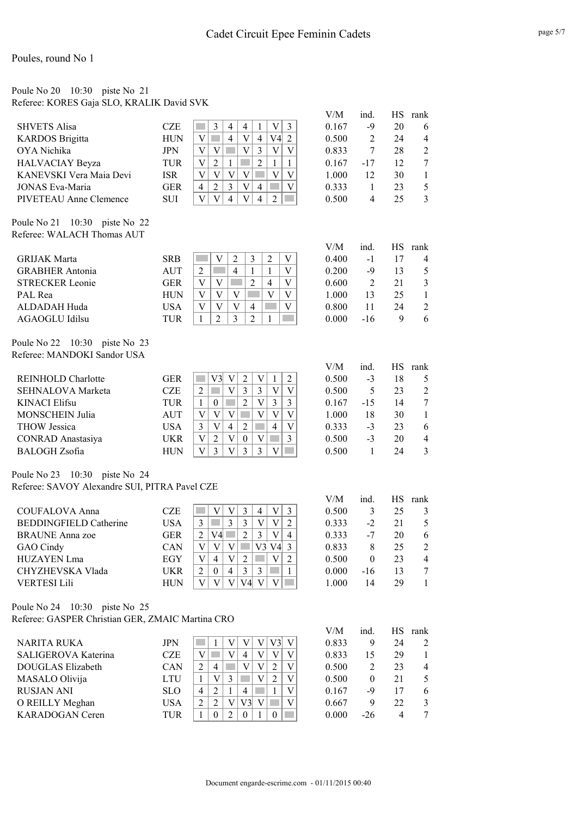#### Poule No 20 10:30 piste No 21 Referee: KORES Gaja SLO, KRALIK David SVK

|                         |            |   |   |   |   |   |    |   | V/M   | 1nd   | НS | rank |
|-------------------------|------------|---|---|---|---|---|----|---|-------|-------|----|------|
| <b>SHVETS Alisa</b>     | <b>CZE</b> |   | 3 | 4 | 4 |   |    |   | 0.167 | -9    | 20 | 6    |
| <b>KARDOS</b> Brigitta  | <b>HUN</b> |   |   | 4 | V | 4 | V4 | C | 0.500 |       | 24 | 4    |
| OYA Nichika             | <b>JPN</b> |   |   |   |   |   |    |   | 0.833 |       | 28 |      |
| <b>HALVACIAY Beyza</b>  | TUR        |   | າ |   |   |   |    |   | 0.167 | $-17$ | 12 |      |
| KANEVSKI Vera Maia Devi | ISR        |   |   |   |   |   |    |   | 1.000 | 12    | 30 |      |
| <b>JONAS Eva-Maria</b>  | <b>GER</b> | 4 | າ |   |   | 4 |    |   | 0.333 |       | 23 |      |
| PIVETEAU Anne Clemence  | SUI        |   |   | 4 |   | 4 |    |   | 0.500 | 4     | 25 |      |

Poule No 21 10:30 piste No 22 Referee: WALACH Thomas AUT

|                        |            |  |   |   |   |  | V/M   | ınd. |    | rank |
|------------------------|------------|--|---|---|---|--|-------|------|----|------|
| <b>GRIJAK Marta</b>    | <b>SRB</b> |  |   |   |   |  | 0.400 | $-1$ |    |      |
| <b>GRABHER Antonia</b> | AUT        |  | 4 |   |   |  | 0.200 | -9   | 13 |      |
| <b>STRECKER Leonie</b> | GER        |  |   |   | 4 |  | 0.600 |      | 21 |      |
| PAL Rea                | HUN        |  |   |   |   |  | 1.000 | 13   | 25 |      |
| ALDADAH Huda           | USA        |  |   | 4 |   |  | 0.800 | 11   | 24 |      |
| AGAOGLU Idilsu         | TUR        |  |   |   |   |  | 0.000 | -16  |    |      |

Poule No 22 10:30 piste No 23 Referee: MANDOKI Sandor USA

|                           |            |          |   |  |             |   | V/M     | ind. | НS | rank           |
|---------------------------|------------|----------|---|--|-------------|---|---------|------|----|----------------|
| <b>REINHOLD Charlotte</b> | GER        | V3       | V |  |             |   | 0.500   | $-3$ | 18 |                |
| <b>SEHNALOVA Marketa</b>  | CZE        |          |   |  |             |   | 0.500   |      | 23 | $\overline{2}$ |
| <b>KINACI Elifsu</b>      | TUR        | $\theta$ |   |  | $\mathbf 3$ |   | 0.167   | -15  | 14 |                |
| <b>MONSCHEIN Julia</b>    | <b>AUT</b> |          |   |  |             |   | 1.000   | 18   | 30 |                |
| <b>THOW</b> Jessica       | USA        |          | 4 |  | 4           | V | 0 3 3 3 | $-3$ | 23 | 6              |
| CONRAD Anastasiya         | UKR        | າ        | V |  |             | 3 | 0.500   | $-3$ | 20 | 4              |
| <b>BALOGH</b> Zsofia      | HUN        |          |   |  |             |   | 0.500   |      | 24 |                |

Poule No 23 10:30 piste No 24 Referee: SAVOY Alexandre SUI, PITRA Pavel CZE

|                               |            |   |                |   |    |     |    |                | V/M   | ind.  | НS | rank           |
|-------------------------------|------------|---|----------------|---|----|-----|----|----------------|-------|-------|----|----------------|
| <b>COUFALOVA Anna</b>         | <b>CZE</b> |   | V              |   |    | 4   | V  |                | 0.500 | 3     | 25 | $\mathcal{E}$  |
| <b>BEDDINGFIELD Catherine</b> | <b>USA</b> |   |                |   |    |     | V  |                | 0.333 | $-2$  | 21 | 5              |
| <b>BRAUNE</b> Anna zoe        | GER        |   | V4             |   |    | 3   | V  | $\overline{4}$ | 0.333 | -7    | 20 | 6              |
| GAO Cindy                     | CAN        | V | V              |   |    | V3. | V4 |                | 0.833 | 8     | 25 | 2              |
| <b>HUZAYEN Lma</b>            | EGY        |   | $\overline{4}$ | V |    |     | V  |                | 0.500 | 0     | 23 | $\overline{4}$ |
| CHYZHEVSKA Vlada              | <b>UKR</b> |   | $\theta$       | 4 | 3  | 3   |    |                | 0.000 | $-16$ | 13 |                |
| <b>VERTESI Lili</b>           | <b>HUN</b> |   |                |   | V4 |     |    |                | 1.000 | 14    | 29 |                |

Poule No 24 10:30 piste No 25 Referee: GASPER Christian GER, ZMAIC Martina CRO

|                        |            |   |          |   |     |   |   |   | V/M   | ind.     | НS | rank          |
|------------------------|------------|---|----------|---|-----|---|---|---|-------|----------|----|---------------|
| <b>NARITA RUKA</b>     | JPN        |   |          |   |     |   |   |   | 0.833 | 9        | 24 | 2             |
| SALIGEROVA Katerina    | CZE        |   |          | V | 4   | V | V |   | 0.833 | 15       | 29 |               |
| DOUGLAS Elizabeth      | CAN        |   | 4        |   |     | V |   |   | 0.500 |          | 23 | 4             |
| MASALO Olivija         | LTU        |   | V        |   |     |   |   |   | 0.500 | $\theta$ | 21 | .5            |
| <b>RUSJAN ANI</b>      | <b>SLO</b> | 4 | C        |   | 4   |   |   | V | 0.167 | -9       | 17 | 6             |
| O REILLY Meghan        | USA        |   | ↑        | V | V3l |   |   |   | 0.667 | 9        | 22 | $\mathcal{E}$ |
| <b>KARADOGAN</b> Ceren | TUR        |   | $\Omega$ |   |     |   |   |   | 0.000 | $-26$    |    |               |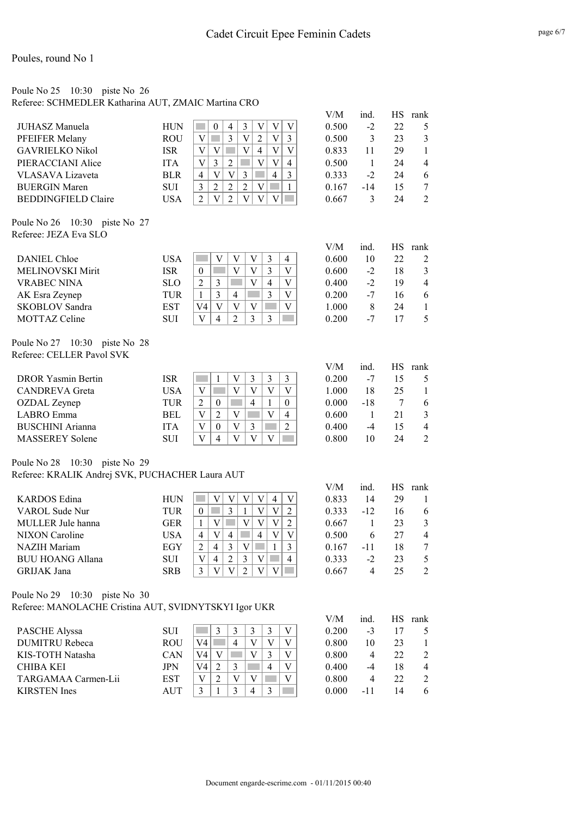### Poule No 25 10:30 piste No 26

Referee: SCHMEDLER Katharina AUT, ZMAIC Martina CRO

|                            |            |          |   |   |   |   | V/M   | ind. | НS | rank           |
|----------------------------|------------|----------|---|---|---|---|-------|------|----|----------------|
| JUHASZ Manuela             | HUN        | $\theta$ | 4 |   |   |   | 0.500 | $-2$ | 22 | 5.             |
| PFEIFER Melany             | <b>ROU</b> |          |   |   | V |   | 0.500 | 3    | 23 | 3              |
| <b>GAVRIELKO Nikol</b>     | <b>ISR</b> |          |   | 4 | V |   | 0.833 | 11   | 29 |                |
| PIERACCIANI Alice          | <b>ITA</b> | 3        |   |   | V |   | 0.500 |      | 24 | $\overline{4}$ |
| VLASAVA Lizaveta           | <b>BLR</b> | V        |   |   | 4 | 3 | 0.333 | $-2$ | 24 | -6             |
| <b>BUERGIN Maren</b>       | <b>SUI</b> | 2        |   |   |   |   | 0.167 | -14  |    |                |
| <b>BEDDINGFIELD Claire</b> | USA        |          |   |   |   |   | 0.667 |      | 24 |                |

Poule No 26 10:30 piste No 27 Referee: JEZA Eva SLO

|                         |            |    |   |   |   |   | V/M   | ınd.           | HS | rank |
|-------------------------|------------|----|---|---|---|---|-------|----------------|----|------|
| <b>DANIEL Chloe</b>     | USA        |    |   |   |   | 4 | 0.600 | 10             | 22 |      |
| <b>MELINOVSKI Mirit</b> | ISR        | 0  |   |   |   |   | 0.600 | -2             | 18 |      |
| <b>VRABEC NINA</b>      | <b>SLO</b> |    |   |   | 4 |   | 0.400 | $-2$           | 19 |      |
| AK Esra Zeynep          | TUR        |    |   | 4 |   |   | 0.200 | -7             | 16 | h    |
| <b>SKOBLOV Sandra</b>   | EST        | V4 |   |   |   |   | 1.000 | 8              | 24 |      |
| <b>MOTTAZ Celine</b>    | SUI        |    | 4 |   |   |   | 0.200 | $\blacksquare$ |    |      |

Poule No 27 10:30 piste No 28 Referee: CELLER Pavol SVK

|                           |            |   |          |   |   | V/M   | 1nd | НS             | rank |
|---------------------------|------------|---|----------|---|---|-------|-----|----------------|------|
| <b>DROR Yasmin Bertin</b> | ISR        |   |          |   |   | 0.200 | -7  | 15             |      |
| <b>CANDREVA</b> Greta     | USA        |   |          |   |   | 1.000 | 18  | 25             |      |
| OZDAL Zeynep              | TUR        | ↑ | $\Omega$ | 4 |   | 0.000 | -18 |                |      |
| LABRO Emma                | BEL        |   |          |   | 4 | 0.600 |     | 21             |      |
| <b>BUSCHINI</b> Arianna   | ITA        |   | $\theta$ |   |   | 0.400 | -4  | $\overline{1}$ |      |
| <b>MASSEREY Solene</b>    | <b>SUI</b> |   | 4        |   |   | 0.800 | 10  | 24             |      |

Poule No 28 10:30 piste No 29

Referee: KRALIK Andrej SVK, PUCHACHER Laura AUT

|                         |            |   |   |   |   |   | V/M   | ind   |    | rank          |
|-------------------------|------------|---|---|---|---|---|-------|-------|----|---------------|
| <b>KARDOS</b> Edina     | HUN        |   |   |   |   |   | 0.833 | 14    | 29 |               |
| VAROL Sude Nur          | TUR        |   |   |   |   |   | 0.333 | $-12$ | 16 | 6             |
| MULLER Jule hanna       | GER        |   |   |   |   |   | 0.667 |       | 23 | $\mathcal{E}$ |
| <b>NIXON</b> Caroline   | USA        | 4 | V | 4 | 4 |   | 0.500 | 6     | 27 | 4             |
| <b>NAZIH</b> Mariam     | EGY        |   | 4 |   |   |   | 0.167 | -11   | 18 |               |
| <b>BUU HOANG Allana</b> | <b>SUI</b> |   | 4 |   |   | 4 | 0.333 | $-2$  | 23 |               |
| <b>GRIJAK</b> Jana      | <b>SRB</b> |   |   |   |   |   | 0.667 | 4     |    |               |

Poule No 29 10:30 piste No 30 Referee: MANOLACHE Cristina AUT, SVIDNYTSKYI Igor UKR

|                       |            |    |   |   |  | V/M   | ind. | НS | rank           |
|-----------------------|------------|----|---|---|--|-------|------|----|----------------|
| <b>PASCHE Alyssa</b>  | <b>SUI</b> |    |   |   |  | 0.200 | $-3$ |    |                |
| <b>DUMITRU Rebeca</b> | ROU        | V4 | 4 |   |  | 0.800 | 10   | 23 |                |
| KIS-TOTH Natasha      | <b>CAN</b> | V4 |   |   |  | 0.800 | 4    | 22 |                |
| <b>CHIBA KEI</b>      | JPN        | V4 |   | 4 |  | 0.400 | -4   | 18 | $\overline{4}$ |
| TARGAMAA Carmen-Lii   | <b>EST</b> |    |   |   |  | 0.800 | 4    | 22 |                |
| <b>KIRSTEN</b> Ines   | <b>AUT</b> |    |   |   |  | 0.000 | -11  | 14 | -6             |
|                       |            |    |   |   |  |       |      |    |                |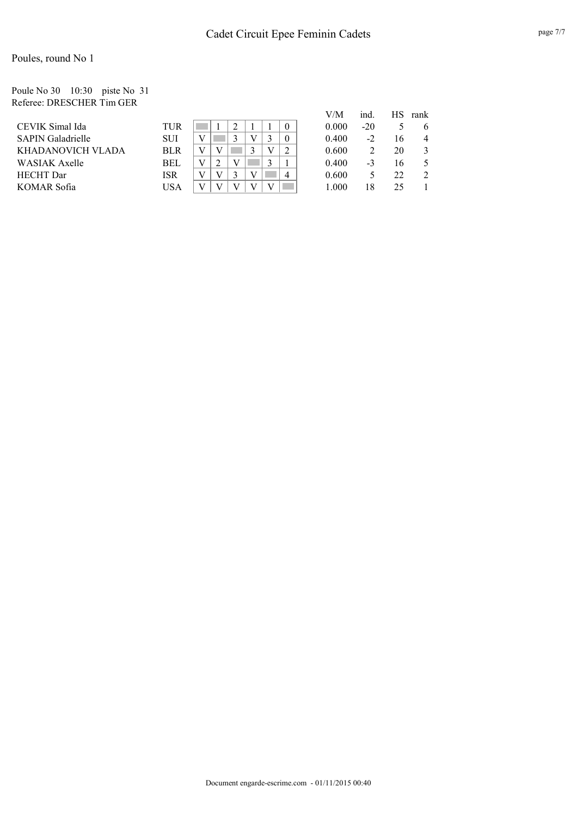#### Poule No 30 10:30 piste No 31 Referee: DRESCHER Tim GER

|                          |            |   |   |                | V/M   | ind.  | НS | rank |
|--------------------------|------------|---|---|----------------|-------|-------|----|------|
| CEVIK Simal Ida          | TUR        |   |   | $\theta$       | 0.000 | $-20$ |    | b    |
| <b>SAPIN Galadrielle</b> | <b>SUI</b> |   |   | $\theta$       | 0.400 | -2    | 16 |      |
| KHADANOVICH VLADA        | <b>BLR</b> |   |   |                | 0.600 |       | 20 |      |
| <b>WASIAK Axelle</b>     | <b>BEL</b> | ∍ |   |                | 0.400 | $-3$  | 16 |      |
| <b>HECHT</b> Dar         | ISR        |   | V | $\overline{4}$ | 0.600 |       | 22 |      |
| KOMAR Sofia              | USA        |   |   |                | 1.000 | 18    | 25 |      |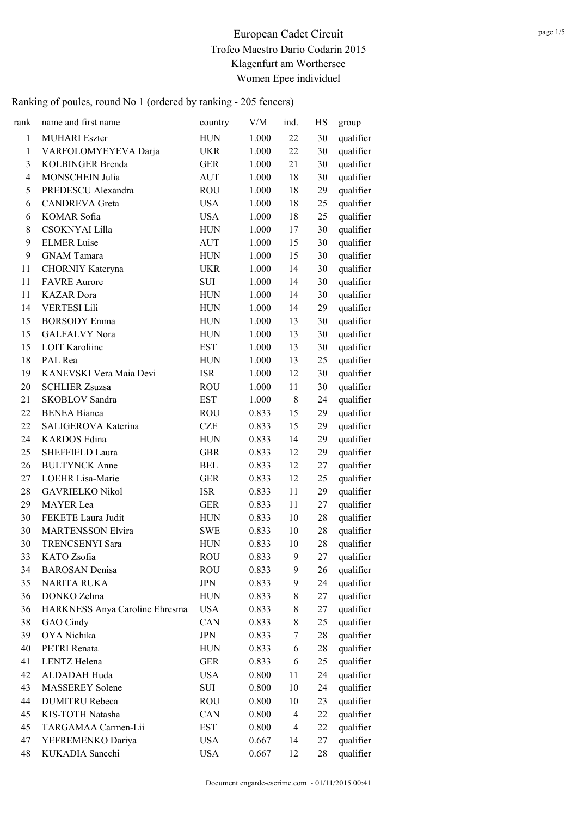| rank                     | name and first name            | country    | V/M   | ind. | HS | group     |
|--------------------------|--------------------------------|------------|-------|------|----|-----------|
| $\mathbf{1}$             | <b>MUHARI Eszter</b>           | <b>HUN</b> | 1.000 | 22   | 30 | qualifier |
| $\mathbf{1}$             | VARFOLOMYEYEVA Darja           | <b>UKR</b> | 1.000 | 22   | 30 | qualifier |
| 3                        | <b>KOLBINGER Brenda</b>        | <b>GER</b> | 1.000 | 21   | 30 | qualifier |
| $\overline{\mathcal{A}}$ | <b>MONSCHEIN Julia</b>         | AUT        | 1.000 | 18   | 30 | qualifier |
| 5                        | PREDESCU Alexandra             | <b>ROU</b> | 1.000 | 18   | 29 | qualifier |
| 6                        | <b>CANDREVA</b> Greta          | <b>USA</b> | 1.000 | 18   | 25 | qualifier |
| 6                        | KOMAR Sofia                    | <b>USA</b> | 1.000 | 18   | 25 | qualifier |
| 8                        | CSOKNYAI Lilla                 | <b>HUN</b> | 1.000 | 17   | 30 | qualifier |
| 9                        | <b>ELMER Luise</b>             | <b>AUT</b> | 1.000 | 15   | 30 | qualifier |
| 9                        | <b>GNAM Tamara</b>             | <b>HUN</b> | 1.000 | 15   | 30 | qualifier |
| 11                       | CHORNIY Kateryna               | <b>UKR</b> | 1.000 | 14   | 30 | qualifier |
| 11                       | <b>FAVRE</b> Aurore            | <b>SUI</b> | 1.000 | 14   | 30 | qualifier |
| 11                       | <b>KAZAR</b> Dora              | <b>HUN</b> | 1.000 | 14   | 30 | qualifier |
| 14                       | <b>VERTESI Lili</b>            | <b>HUN</b> | 1.000 | 14   | 29 | qualifier |
| 15                       | <b>BORSODY</b> Emma            | <b>HUN</b> | 1.000 | 13   | 30 | qualifier |
| 15                       | <b>GALFALVY Nora</b>           | <b>HUN</b> | 1.000 | 13   | 30 | qualifier |
| 15                       | <b>LOIT Karoliine</b>          | <b>EST</b> | 1.000 | 13   | 30 | qualifier |
| 18                       | PAL Rea                        | <b>HUN</b> | 1.000 | 13   | 25 | qualifier |
| 19                       | KANEVSKI Vera Maia Devi        | <b>ISR</b> | 1.000 | 12   | 30 | qualifier |
| 20                       | <b>SCHLIER Zsuzsa</b>          | <b>ROU</b> | 1.000 | 11   | 30 | qualifier |
| 21                       | <b>SKOBLOV</b> Sandra          | <b>EST</b> | 1.000 | 8    | 24 | qualifier |
| 22                       | <b>BENEA Bianca</b>            | <b>ROU</b> | 0.833 | 15   | 29 | qualifier |
| 22                       | SALIGEROVA Katerina            | <b>CZE</b> | 0.833 | 15   | 29 | qualifier |
| 24                       | <b>KARDOS</b> Edina            | <b>HUN</b> | 0.833 | 14   | 29 | qualifier |
| 25                       | SHEFFIELD Laura                | <b>GBR</b> | 0.833 | 12   | 29 | qualifier |
| 26                       | <b>BULTYNCK Anne</b>           | <b>BEL</b> | 0.833 | 12   | 27 | qualifier |
| 27                       | LOEHR Lisa-Marie               | <b>GER</b> | 0.833 | 12   | 25 | qualifier |
| 28                       | <b>GAVRIELKO Nikol</b>         | <b>ISR</b> | 0.833 | 11   | 29 | qualifier |
| 29                       | <b>MAYER</b> Lea               | <b>GER</b> | 0.833 | 11   | 27 | qualifier |
| 30                       | FEKETE Laura Judit             | <b>HUN</b> | 0.833 | 10   | 28 | qualifier |
| 30                       | <b>MARTENSSON Elvira</b>       | <b>SWE</b> | 0.833 | 10   | 28 | qualifier |
| 30                       | <b>TRENCSENYI Sara</b>         | <b>HUN</b> | 0.833 | 10   | 28 | qualifier |
| 33                       | KATO Zsofia                    | <b>ROU</b> | 0.833 | 9    | 27 | qualifier |
| 34                       | <b>BAROSAN</b> Denisa          | <b>ROU</b> | 0.833 | 9    | 26 | qualifier |
| 35                       | <b>NARITA RUKA</b>             | <b>JPN</b> | 0.833 | 9    | 24 | qualifier |
| 36                       | DONKO Zelma                    | <b>HUN</b> | 0.833 | 8    | 27 | qualifier |
| 36                       | HARKNESS Anya Caroline Ehresma | <b>USA</b> | 0.833 | 8    | 27 | qualifier |
| 38                       | GAO Cindy                      | CAN        | 0.833 | 8    | 25 | qualifier |
| 39                       | OYA Nichika                    | <b>JPN</b> | 0.833 | 7    | 28 | qualifier |
| 40                       | PETRI Renata                   | <b>HUN</b> | 0.833 | 6    | 28 | qualifier |
| 41                       | LENTZ Helena                   | <b>GER</b> | 0.833 | 6    | 25 | qualifier |
| 42                       | ALDADAH Huda                   | <b>USA</b> | 0.800 | 11   | 24 | qualifier |
| 43                       | <b>MASSEREY</b> Solene         | SUI        | 0.800 | 10   | 24 | qualifier |
| 44                       | <b>DUMITRU Rebeca</b>          | <b>ROU</b> | 0.800 | 10   | 23 | qualifier |
| 45                       | KIS-TOTH Natasha               | CAN        | 0.800 | 4    | 22 | qualifier |
| 45                       | TARGAMAA Carmen-Lii            | <b>EST</b> | 0.800 | 4    | 22 | qualifier |
| 47                       | YEFREMENKO Dariya              | <b>USA</b> | 0.667 | 14   | 27 | qualifier |
| 48                       | KUKADIA Sancchi                | <b>USA</b> | 0.667 | 12   | 28 | qualifier |
|                          |                                |            |       |      |    |           |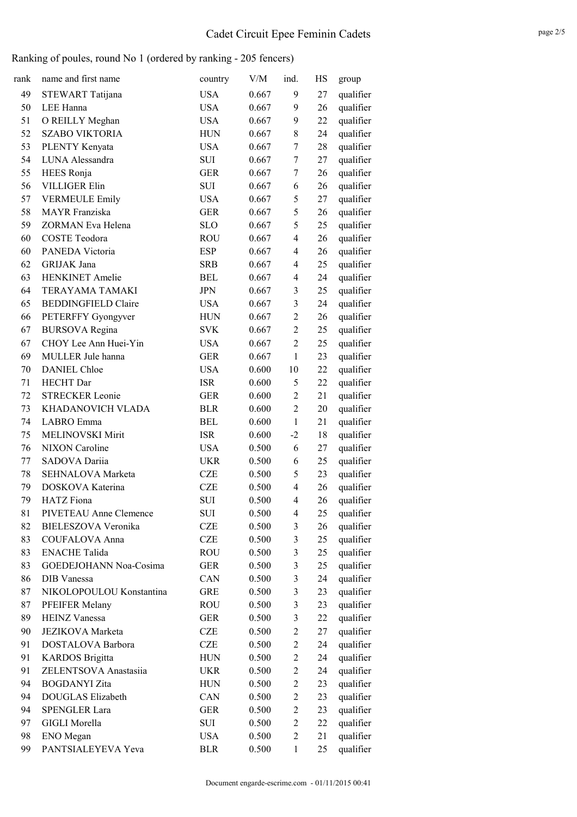| rank | name and first name        | country    | V/M   | ind.                    | HS | group     |
|------|----------------------------|------------|-------|-------------------------|----|-----------|
| 49   | STEWART Tatijana           | <b>USA</b> | 0.667 | 9                       | 27 | qualifier |
| 50   | LEE Hanna                  | <b>USA</b> | 0.667 | 9                       | 26 | qualifier |
| 51   | O REILLY Meghan            | <b>USA</b> | 0.667 | 9                       | 22 | qualifier |
| 52   | <b>SZABO VIKTORIA</b>      | <b>HUN</b> | 0.667 | 8                       | 24 | qualifier |
| 53   | PLENTY Kenyata             | <b>USA</b> | 0.667 | 7                       | 28 | qualifier |
| 54   | LUNA Alessandra            | <b>SUI</b> | 0.667 | 7                       | 27 | qualifier |
| 55   | HEES Ronja                 | <b>GER</b> | 0.667 | 7                       | 26 | qualifier |
| 56   | <b>VILLIGER Elin</b>       | <b>SUI</b> | 0.667 | 6                       | 26 | qualifier |
| 57   | <b>VERMEULE Emily</b>      | <b>USA</b> | 0.667 | 5                       | 27 | qualifier |
| 58   | <b>MAYR</b> Franziska      | <b>GER</b> | 0.667 | 5                       | 26 | qualifier |
| 59   | ZORMAN Eva Helena          | <b>SLO</b> | 0.667 | 5                       | 25 | qualifier |
| 60   | <b>COSTE Teodora</b>       | <b>ROU</b> | 0.667 | $\overline{4}$          | 26 | qualifier |
| 60   | PANEDA Victoria            | <b>ESP</b> | 0.667 | $\overline{4}$          | 26 | qualifier |
| 62   | GRIJAK Jana                | <b>SRB</b> | 0.667 | $\overline{4}$          | 25 | qualifier |
| 63   | <b>HENKINET</b> Amelie     | <b>BEL</b> | 0.667 | 4                       | 24 | qualifier |
| 64   | TERAYAMA TAMAKI            | <b>JPN</b> | 0.667 | 3                       | 25 | qualifier |
| 65   | <b>BEDDINGFIELD Claire</b> | <b>USA</b> | 0.667 | $\overline{\mathbf{3}}$ | 24 | qualifier |
| 66   | PETERFFY Gyongyver         | <b>HUN</b> | 0.667 | $\sqrt{2}$              | 26 | qualifier |
| 67   | <b>BURSOVA</b> Regina      | <b>SVK</b> | 0.667 | $\overline{2}$          | 25 | qualifier |
| 67   | CHOY Lee Ann Huei-Yin      | <b>USA</b> | 0.667 | $\overline{2}$          | 25 | qualifier |
| 69   | MULLER Jule hanna          | <b>GER</b> | 0.667 | $\mathbf{1}$            | 23 | qualifier |
| 70   | <b>DANIEL Chloe</b>        | <b>USA</b> | 0.600 | 10                      | 22 | qualifier |
| 71   | <b>HECHT</b> Dar           | <b>ISR</b> | 0.600 | 5                       | 22 | qualifier |
| 72   | <b>STRECKER Leonie</b>     | <b>GER</b> | 0.600 | $\overline{2}$          | 21 | qualifier |
| 73   | KHADANOVICH VLADA          | <b>BLR</b> | 0.600 | $\overline{2}$          | 20 | qualifier |
| 74   | LABRO Emma                 | <b>BEL</b> | 0.600 | $\mathbf{1}$            | 21 | qualifier |
| 75   | <b>MELINOVSKI Mirit</b>    | <b>ISR</b> | 0.600 | $-2$                    | 18 | qualifier |
| 76   | <b>NIXON</b> Caroline      | <b>USA</b> | 0.500 | 6                       | 27 | qualifier |
| 77   | SADOVA Dariia              | <b>UKR</b> | 0.500 | 6                       | 25 | qualifier |
| 78   | SEHNALOVA Marketa          | <b>CZE</b> | 0.500 | 5                       | 23 | qualifier |
| 79   | DOSKOVA Katerina           | <b>CZE</b> | 0.500 | 4                       | 26 | qualifier |
| 79   | <b>HATZ</b> Fiona          | <b>SUI</b> | 0.500 | 4                       | 26 | qualifier |
| 81   | PIVETEAU Anne Clemence     | SUI        | 0.500 | 4                       | 25 | qualifier |
| 82   | <b>BIELESZOVA Veronika</b> | <b>CZE</b> | 0.500 | 3                       | 26 | qualifier |
| 83   | COUFALOVA Anna             | <b>CZE</b> | 0.500 | 3                       | 25 | qualifier |
| 83   | <b>ENACHE Talida</b>       | <b>ROU</b> | 0.500 | $\mathfrak{Z}$          | 25 | qualifier |
| 83   | GOEDEJOHANN Noa-Cosima     | <b>GER</b> | 0.500 | $\mathfrak{Z}$          | 25 | qualifier |
| 86   | DIB Vanessa                | CAN        | 0.500 | $\mathfrak{Z}$          | 24 | qualifier |
| 87   | NIKOLOPOULOU Konstantina   | <b>GRE</b> | 0.500 | 3                       | 23 | qualifier |
| 87   | PFEIFER Melany             | <b>ROU</b> | 0.500 | $\mathfrak{Z}$          | 23 | qualifier |
| 89   | <b>HEINZ Vanessa</b>       | <b>GER</b> | 0.500 | $\mathfrak{Z}$          | 22 | qualifier |
| 90   | <b>JEZIKOVA</b> Marketa    | <b>CZE</b> | 0.500 | $\overline{2}$          | 27 | qualifier |
| 91   | DOSTALOVA Barbora          | <b>CZE</b> | 0.500 | $\sqrt{2}$              | 24 | qualifier |
| 91   | <b>KARDOS</b> Brigitta     | <b>HUN</b> | 0.500 | $\overline{2}$          | 24 | qualifier |
| 91   | ZELENTSOVA Anastasiia      | <b>UKR</b> | 0.500 | $\overline{c}$          | 24 | qualifier |
| 94   | <b>BOGDANYI</b> Zita       | <b>HUN</b> | 0.500 | $\overline{2}$          | 23 | qualifier |
| 94   | DOUGLAS Elizabeth          | CAN        | 0.500 | $\overline{c}$          | 23 | qualifier |
| 94   | SPENGLER Lara              | <b>GER</b> | 0.500 | $\overline{c}$          | 23 | qualifier |
| 97   | <b>GIGLI Morella</b>       | SUI        | 0.500 | $\overline{c}$          | 22 | qualifier |
| 98   | ENO Megan                  | <b>USA</b> | 0.500 | $\overline{2}$          | 21 | qualifier |
| 99   | PANTSIALEYEVA Yeva         | <b>BLR</b> | 0.500 | $\mathbf{1}$            | 25 | qualifier |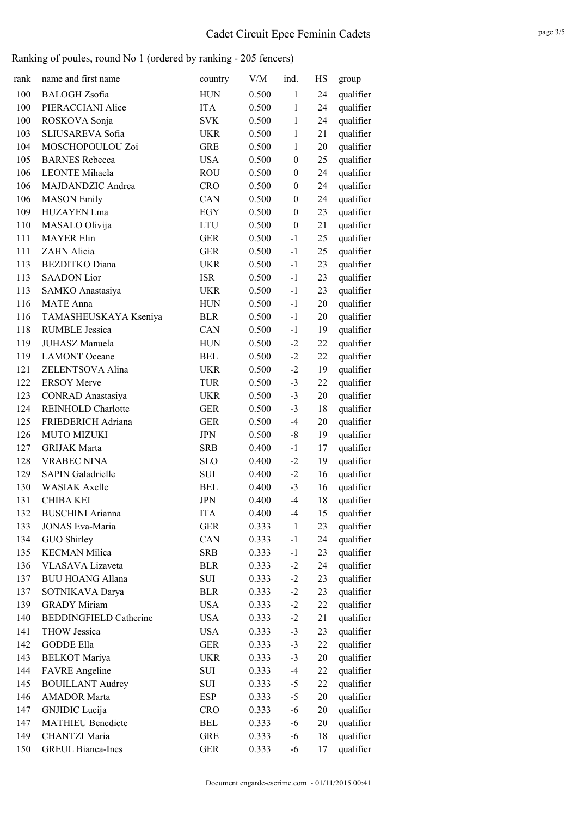| rank | name and first name           | country    | V/M   | ind.             | HS | group     |
|------|-------------------------------|------------|-------|------------------|----|-----------|
| 100  | <b>BALOGH</b> Zsofia          | <b>HUN</b> | 0.500 | $\mathbf{1}$     | 24 | qualifier |
| 100  | PIERACCIANI Alice             | <b>ITA</b> | 0.500 | 1                | 24 | qualifier |
| 100  | ROSKOVA Sonja                 | <b>SVK</b> | 0.500 | 1                | 24 | qualifier |
| 103  | SLIUSAREVA Sofia              | UKR        | 0.500 | 1                | 21 | qualifier |
| 104  | MOSCHOPOULOU Zoi              | <b>GRE</b> | 0.500 | $\mathbf{1}$     | 20 | qualifier |
| 105  | <b>BARNES</b> Rebecca         | <b>USA</b> | 0.500 | $\boldsymbol{0}$ | 25 | qualifier |
| 106  | <b>LEONTE</b> Mihaela         | <b>ROU</b> | 0.500 | $\boldsymbol{0}$ | 24 | qualifier |
| 106  | MAJDANDZIC Andrea             | <b>CRO</b> | 0.500 | $\boldsymbol{0}$ | 24 | qualifier |
| 106  | <b>MASON</b> Emily            | CAN        | 0.500 | $\boldsymbol{0}$ | 24 | qualifier |
| 109  | HUZAYEN Lma                   | EGY        | 0.500 | $\boldsymbol{0}$ | 23 | qualifier |
| 110  | MASALO Olivija                | <b>LTU</b> | 0.500 | $\boldsymbol{0}$ | 21 | qualifier |
| 111  | <b>MAYER Elin</b>             | <b>GER</b> | 0.500 | $-1$             | 25 | qualifier |
| 111  | ZAHN Alicia                   | <b>GER</b> | 0.500 | $-1$             | 25 | qualifier |
| 113  | <b>BEZDITKO</b> Diana         | <b>UKR</b> | 0.500 | $-1$             | 23 | qualifier |
| 113  | <b>SAADON</b> Lior            | <b>ISR</b> | 0.500 | $-1$             | 23 | qualifier |
| 113  | SAMKO Anastasiya              | <b>UKR</b> | 0.500 | $-1$             | 23 | qualifier |
| 116  | <b>MATE</b> Anna              | <b>HUN</b> | 0.500 | $-1$             | 20 | qualifier |
| 116  | TAMASHEUSKAYA Kseniya         | <b>BLR</b> | 0.500 | $-1$             | 20 | qualifier |
| 118  | <b>RUMBLE Jessica</b>         | CAN        | 0.500 | $-1$             | 19 | qualifier |
| 119  | JUHASZ Manuela                | <b>HUN</b> | 0.500 | $-2$             | 22 | qualifier |
| 119  | <b>LAMONT</b> Oceane          | <b>BEL</b> | 0.500 | $-2$             | 22 | qualifier |
| 121  | ZELENTSOVA Alina              | <b>UKR</b> | 0.500 | $-2$             | 19 | qualifier |
| 122  | <b>ERSOY Merve</b>            | <b>TUR</b> | 0.500 | $-3$             | 22 | qualifier |
| 123  | <b>CONRAD</b> Anastasiya      | <b>UKR</b> | 0.500 | $-3$             | 20 | qualifier |
| 124  | <b>REINHOLD Charlotte</b>     | <b>GER</b> | 0.500 | $-3$             | 18 | qualifier |
| 125  | FRIEDERICH Adriana            | <b>GER</b> | 0.500 | $-4$             | 20 | qualifier |
| 126  | <b>MUTO MIZUKI</b>            | <b>JPN</b> | 0.500 | $-8$             | 19 | qualifier |
| 127  | <b>GRIJAK Marta</b>           | <b>SRB</b> | 0.400 | $-1$             | 17 | qualifier |
| 128  | <b>VRABEC NINA</b>            | <b>SLO</b> | 0.400 | $-2$             | 19 | qualifier |
| 129  | <b>SAPIN Galadrielle</b>      | SUI        | 0.400 | $-2$             | 16 | qualifier |
| 130  | <b>WASIAK Axelle</b>          | <b>BEL</b> | 0.400 | $-3$             | 16 | qualifier |
| 131  | <b>CHIBA KEI</b>              | <b>JPN</b> | 0.400 | $-4$             | 18 | qualifier |
| 132  | <b>BUSCHINI Arianna</b>       | <b>ITA</b> | 0.400 | $-4$             | 15 | qualifier |
| 133  | <b>JONAS Eva-Maria</b>        | <b>GER</b> | 0.333 | $\mathbf{1}$     | 23 | qualifier |
| 134  | GUO Shirley                   | CAN        | 0.333 | $-1$             | 24 | qualifier |
| 135  | <b>KECMAN Milica</b>          | <b>SRB</b> | 0.333 | $-1$             | 23 | qualifier |
| 136  | VLASAVA Lizaveta              | <b>BLR</b> | 0.333 | $-2$             | 24 | qualifier |
| 137  | <b>BUU HOANG Allana</b>       | SUI        | 0.333 | $-2$             | 23 | qualifier |
| 137  | SOTNIKAVA Darya               | <b>BLR</b> | 0.333 | $-2$             | 23 | qualifier |
| 139  | <b>GRADY Miriam</b>           | <b>USA</b> | 0.333 | $-2$             | 22 | qualifier |
| 140  | <b>BEDDINGFIELD Catherine</b> | <b>USA</b> | 0.333 | $-2$             | 21 | qualifier |
| 141  | <b>THOW Jessica</b>           | <b>USA</b> | 0.333 | $-3$             | 23 | qualifier |
| 142  | <b>GODDE Ella</b>             | <b>GER</b> | 0.333 | $-3$             | 22 | qualifier |
| 143  | <b>BELKOT</b> Mariya          | <b>UKR</b> | 0.333 | $-3$             | 20 | qualifier |
| 144  | <b>FAVRE</b> Angeline         | SUI        | 0.333 | $-4$             | 22 | qualifier |
| 145  | <b>BOUILLANT Audrey</b>       | SUI        | 0.333 | $-5$             | 22 | qualifier |
| 146  | <b>AMADOR Marta</b>           | ESP        | 0.333 | $-5$             | 20 | qualifier |
| 147  | <b>GNJIDIC</b> Lucija         | <b>CRO</b> | 0.333 | $-6$             | 20 | qualifier |
| 147  | <b>MATHIEU Benedicte</b>      | BEL        | 0.333 | $-6$             | 20 | qualifier |
| 149  | CHANTZI Maria                 | <b>GRE</b> | 0.333 | $-6$             | 18 | qualifier |
| 150  | <b>GREUL Bianca-Ines</b>      | <b>GER</b> | 0.333 | -6               | 17 | qualifier |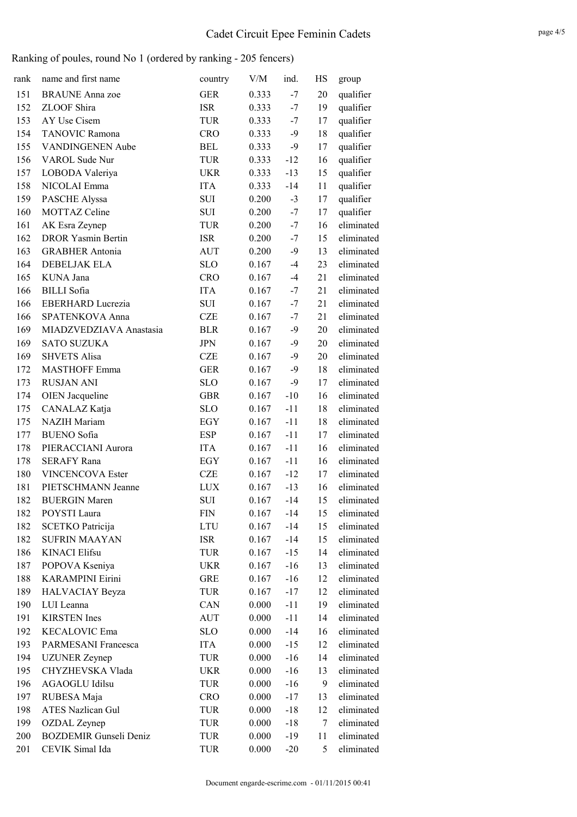| rank | name and first name           | country    | V/M   | ind.  | HS | group      |
|------|-------------------------------|------------|-------|-------|----|------------|
| 151  | <b>BRAUNE</b> Anna zoe        | <b>GER</b> | 0.333 | $-7$  | 20 | qualifier  |
| 152  | ZLOOF Shira                   | <b>ISR</b> | 0.333 | $-7$  | 19 | qualifier  |
| 153  | AY Use Cisem                  | <b>TUR</b> | 0.333 | $-7$  | 17 | qualifier  |
| 154  | <b>TANOVIC Ramona</b>         | <b>CRO</b> | 0.333 | $-9$  | 18 | qualifier  |
| 155  | <b>VANDINGENEN Aube</b>       | <b>BEL</b> | 0.333 | $-9$  | 17 | qualifier  |
| 156  | VAROL Sude Nur                | <b>TUR</b> | 0.333 | $-12$ | 16 | qualifier  |
| 157  | LOBODA Valeriya               | <b>UKR</b> | 0.333 | $-13$ | 15 | qualifier  |
| 158  | NICOLAI Emma                  | <b>ITA</b> | 0.333 | $-14$ | 11 | qualifier  |
| 159  | PASCHE Alyssa                 | <b>SUI</b> | 0.200 | $-3$  | 17 | qualifier  |
| 160  | <b>MOTTAZ Celine</b>          | <b>SUI</b> | 0.200 | $-7$  | 17 | qualifier  |
| 161  | AK Esra Zeynep                | <b>TUR</b> | 0.200 | $-7$  | 16 | eliminated |
| 162  | <b>DROR Yasmin Bertin</b>     | <b>ISR</b> | 0.200 | $-7$  | 15 | eliminated |
| 163  | <b>GRABHER Antonia</b>        | AUT        | 0.200 | $-9$  | 13 | eliminated |
| 164  | <b>DEBELJAK ELA</b>           | <b>SLO</b> | 0.167 | $-4$  | 23 | eliminated |
| 165  | KUNA Jana                     | <b>CRO</b> | 0.167 | $-4$  | 21 | eliminated |
| 166  | <b>BILLI</b> Sofia            | <b>ITA</b> | 0.167 | $-7$  | 21 | eliminated |
| 166  | <b>EBERHARD Lucrezia</b>      | SUI        | 0.167 | $-7$  | 21 | eliminated |
| 166  | SPATENKOVA Anna               | <b>CZE</b> | 0.167 | $-7$  | 21 | eliminated |
| 169  | MIADZVEDZIAVA Anastasia       | <b>BLR</b> | 0.167 | $-9$  | 20 | eliminated |
| 169  | <b>SATO SUZUKA</b>            | <b>JPN</b> | 0.167 | $-9$  | 20 | eliminated |
| 169  | <b>SHVETS Alisa</b>           | <b>CZE</b> | 0.167 | $-9$  | 20 | eliminated |
| 172  | <b>MASTHOFF Emma</b>          | <b>GER</b> | 0.167 | $-9$  | 18 | eliminated |
| 173  | <b>RUSJAN ANI</b>             | <b>SLO</b> | 0.167 | $-9$  | 17 | eliminated |
| 174  | <b>OIEN</b> Jacqueline        | <b>GBR</b> | 0.167 | $-10$ | 16 | eliminated |
| 175  | CANALAZ Katja                 | <b>SLO</b> | 0.167 | $-11$ | 18 | eliminated |
| 175  | <b>NAZIH</b> Mariam           | EGY        | 0.167 | $-11$ | 18 | eliminated |
| 177  | <b>BUENO</b> Sofia            | <b>ESP</b> | 0.167 | $-11$ | 17 | eliminated |
| 178  | PIERACCIANI Aurora            | <b>ITA</b> | 0.167 | $-11$ | 16 | eliminated |
| 178  | <b>SERAFY Rana</b>            | EGY        | 0.167 | $-11$ | 16 | eliminated |
| 180  | <b>VINCENCOVA Ester</b>       | CZE        | 0.167 | $-12$ | 17 | eliminated |
| 181  | PIETSCHMANN Jeanne            | <b>LUX</b> | 0.167 | $-13$ | 16 | eliminated |
| 182  | <b>BUERGIN Maren</b>          | <b>SUI</b> | 0.167 | $-14$ | 15 | eliminated |
| 182  | POYSTI Laura                  | <b>FIN</b> | 0.167 | $-14$ | 15 | eliminated |
| 182  | <b>SCETKO Patricija</b>       | LTU        | 0.167 | $-14$ | 15 | eliminated |
| 182  | <b>SUFRIN MAAYAN</b>          | <b>ISR</b> | 0.167 | $-14$ | 15 | eliminated |
| 186  | <b>KINACI</b> Elifsu          | TUR        | 0.167 | $-15$ | 14 | eliminated |
| 187  | POPOVA Kseniya                | UKR        | 0.167 | $-16$ | 13 | eliminated |
| 188  | <b>KARAMPINI Eirini</b>       | GRE        | 0.167 | $-16$ | 12 | eliminated |
| 189  | <b>HALVACIAY Beyza</b>        | <b>TUR</b> | 0.167 | $-17$ | 12 | eliminated |
| 190  | LUI Leanna                    | CAN        | 0.000 | $-11$ | 19 | eliminated |
| 191  | <b>KIRSTEN</b> Ines           | AUT        | 0.000 | $-11$ | 14 | eliminated |
| 192  | <b>KECALOVIC Ema</b>          | <b>SLO</b> | 0.000 | $-14$ | 16 | eliminated |
| 193  | PARMESANI Francesca           | <b>ITA</b> | 0.000 | $-15$ | 12 | eliminated |
| 194  | <b>UZUNER</b> Zeynep          | TUR        | 0.000 | $-16$ | 14 | eliminated |
| 195  | CHYZHEVSKA Vlada              | UKR        | 0.000 | $-16$ | 13 | eliminated |
| 196  | <b>AGAOGLU Idilsu</b>         | TUR        | 0.000 | $-16$ | 9  | eliminated |
| 197  | RUBESA Maja                   | <b>CRO</b> | 0.000 | $-17$ | 13 | eliminated |
| 198  | <b>ATES Nazlican Gul</b>      | TUR        | 0.000 | $-18$ | 12 | eliminated |
| 199  | OZDAL Zeynep                  | TUR        | 0.000 | $-18$ | 7  | eliminated |
| 200  | <b>BOZDEMIR Gunseli Deniz</b> | TUR        | 0.000 | $-19$ | 11 | eliminated |
| 201  | CEVIK Simal Ida               | TUR        | 0.000 | $-20$ | 5  | eliminated |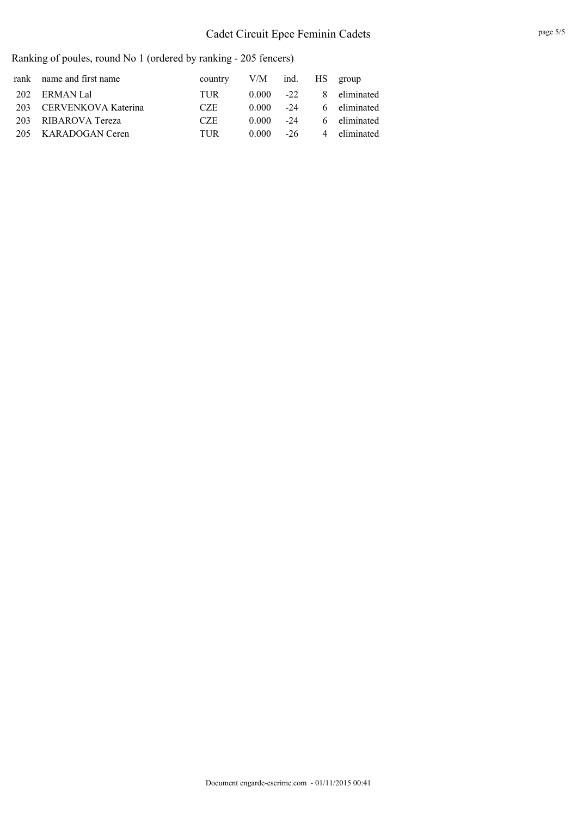## Cadet Circuit Epee Feminin Cadets

| rank name and first name | country    | V/M ind. HS group |       |              |
|--------------------------|------------|-------------------|-------|--------------|
| 202 ERMAN Lal            | <b>TUR</b> | $0.000 -22$       |       | 8 eliminated |
| 203 CERVENKOVA Katerina  | CZE.       | 0.000             | $-24$ | 6 eliminated |
| 203 RIBAROVA Tereza      | CZE.       | 0.000             | $-24$ | 6 eliminated |
| 205 KARADOGAN Ceren      | <b>TUR</b> | 0.000             | $-26$ | 4 eliminated |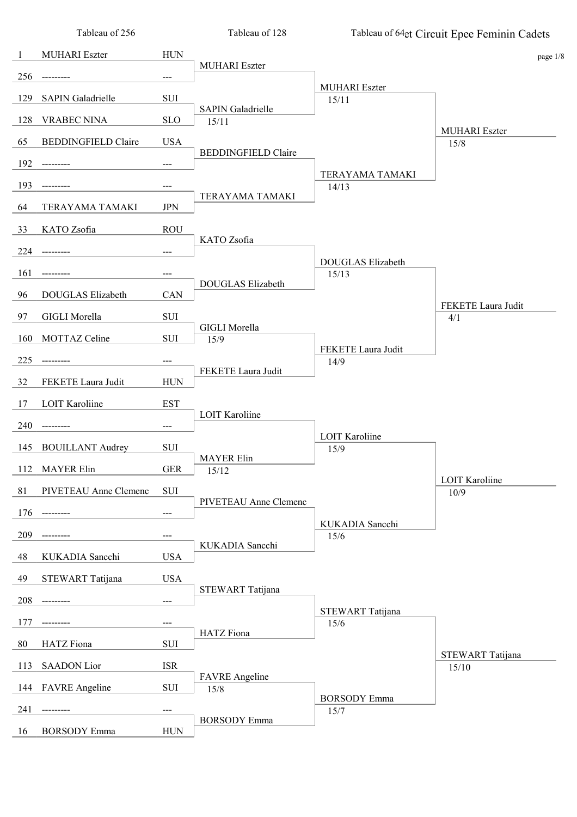|     | Tableau of 256             |             | Tableau of 128                    |                               | Tableau of 64et Circuit Epee Feminin Cadets |
|-----|----------------------------|-------------|-----------------------------------|-------------------------------|---------------------------------------------|
| -1  | <b>MUHARI</b> Eszter       | <b>HUN</b>  |                                   |                               | page 1/8                                    |
| 256 |                            | ---         | <b>MUHARI</b> Eszter              |                               |                                             |
| 129 | <b>SAPIN Galadrielle</b>   | SUI         |                                   | <b>MUHARI</b> Eszter<br>15/11 |                                             |
| 128 | <b>VRABEC NINA</b>         | <b>SLO</b>  | <b>SAPIN Galadrielle</b><br>15/11 |                               |                                             |
| 65  | <b>BEDDINGFIELD Claire</b> | <b>USA</b>  |                                   |                               | <b>MUHARI</b> Eszter                        |
|     |                            |             | <b>BEDDINGFIELD Claire</b>        |                               | 15/8                                        |
| 192 |                            | ---         |                                   | TERAYAMA TAMAKI               |                                             |
| 193 |                            | ---         | TERAYAMA TAMAKI                   | 14/13                         |                                             |
| 64  | TERAYAMA TAMAKI            | <b>JPN</b>  |                                   |                               |                                             |
| 33  | KATO Zsofia                | <b>ROU</b>  | KATO Zsofia                       |                               |                                             |
| 224 |                            | ---         |                                   | DOUGLAS Elizabeth             |                                             |
| 161 |                            | ---         |                                   | 15/13                         |                                             |
| 96  | DOUGLAS Elizabeth          | CAN         | <b>DOUGLAS Elizabeth</b>          |                               |                                             |
| 97  | <b>GIGLI Morella</b>       | SUI         |                                   |                               | FEKETE Laura Judit<br>4/1                   |
| 160 | MOTTAZ Celine              | SUI         | <b>GIGLI Morella</b><br>15/9      |                               |                                             |
| 225 |                            | ---         |                                   | FEKETE Laura Judit<br>14/9    |                                             |
| 32  | FEKETE Laura Judit         | <b>HUN</b>  | FEKETE Laura Judit                |                               |                                             |
|     |                            |             |                                   |                               |                                             |
| 17  | <b>LOIT Karoliine</b>      | <b>EST</b>  | <b>LOIT Karoliine</b>             |                               |                                             |
| 240 |                            | ---         |                                   | <b>LOIT Karoliine</b>         |                                             |
| 145 | <b>BOUILLANT Audrey</b>    | SUI         | <b>MAYER Elin</b>                 | 15/9                          |                                             |
| 112 | <b>MAYER Elin</b>          | <b>GER</b>  | 15/12                             |                               | <b>LOIT Karoliine</b>                       |
| 81  | PIVETEAU Anne Clemenc      | ${\rm SUI}$ | PIVETEAU Anne Clemenc             |                               | 10/9                                        |
| 176 | -------                    | ---         |                                   | KUKADIA Sancchi               |                                             |
| 209 |                            | ---         |                                   | 15/6                          |                                             |
| 48  | KUKADIA Sancchi            | <b>USA</b>  | KUKADIA Sancchi                   |                               |                                             |
| 49  | STEWART Tatijana           | <b>USA</b>  |                                   |                               |                                             |
| 208 | -------                    | ---         | STEWART Tatijana                  |                               |                                             |
| 177 |                            | ---         |                                   | STEWART Tatijana<br>15/6      |                                             |
| 80  |                            | SUI         | HATZ Fiona                        |                               |                                             |
|     | HATZ Fiona                 |             |                                   |                               | STEWART Tatijana                            |
| 113 | <b>SAADON</b> Lior         | <b>ISR</b>  | <b>FAVRE</b> Angeline             |                               | 15/10                                       |
| 144 | <b>FAVRE</b> Angeline      | SUI         | 15/8                              | <b>BORSODY</b> Emma           |                                             |
| 241 |                            | ---         | <b>BORSODY</b> Emma               | 15/7                          |                                             |
| 16  | <b>BORSODY</b> Emma        | <b>HUN</b>  |                                   |                               |                                             |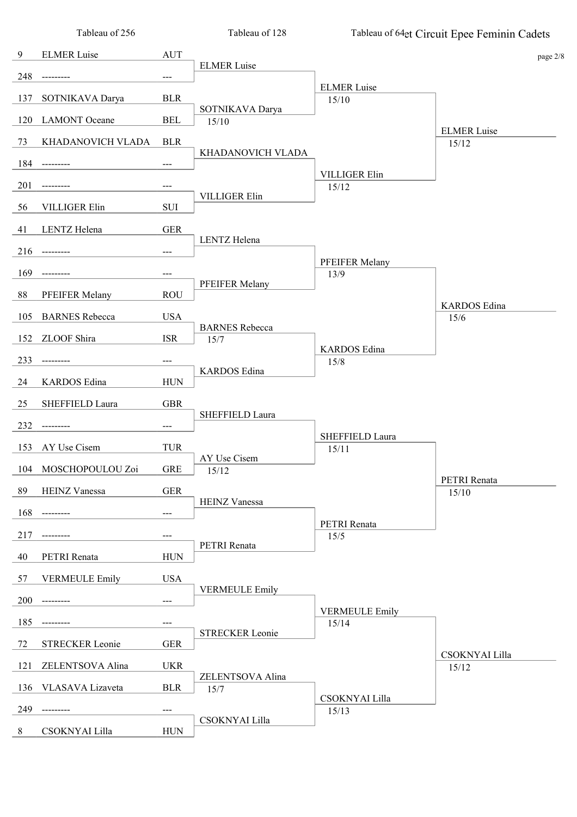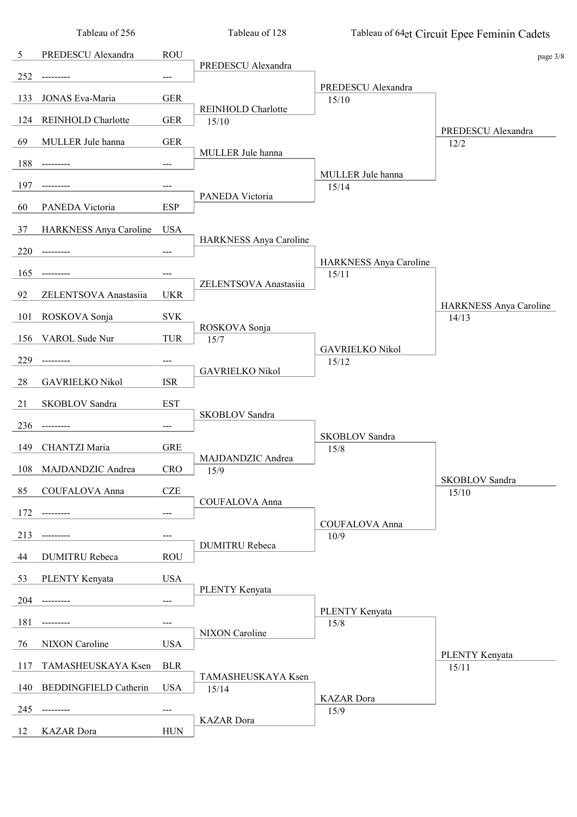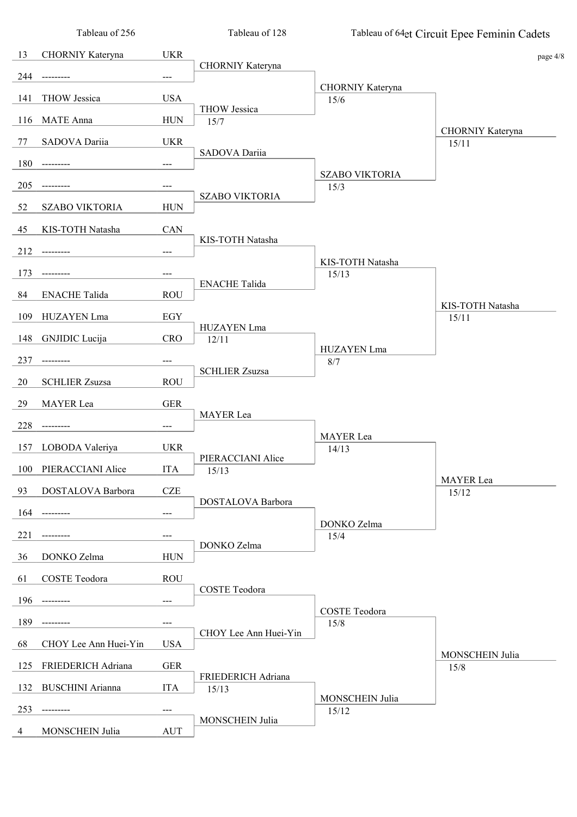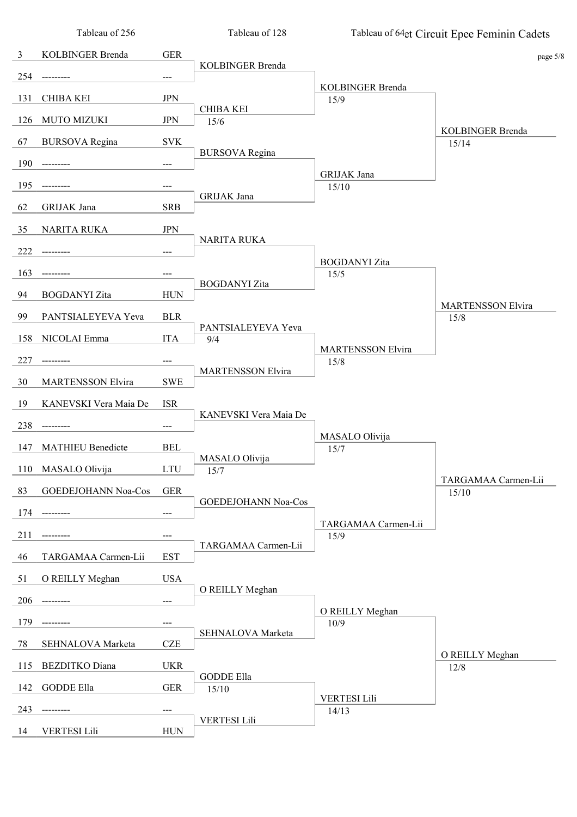|                | Tableau of 256           |            | Tableau of 128            |                                 | Tableau of 64et Circuit Epee Feminin Cadets |
|----------------|--------------------------|------------|---------------------------|---------------------------------|---------------------------------------------|
| $\mathfrak{Z}$ | KOLBINGER Brenda         | <b>GER</b> |                           |                                 | page 5/8                                    |
| 254            |                          | ---        | KOLBINGER Brenda          |                                 |                                             |
| 131            | <b>CHIBA KEI</b>         | <b>JPN</b> |                           | <b>KOLBINGER Brenda</b><br>15/9 |                                             |
| 126            | <b>MUTO MIZUKI</b>       | <b>JPN</b> | <b>CHIBA KEI</b><br>15/6  |                                 |                                             |
|                |                          |            |                           |                                 | <b>KOLBINGER Brenda</b>                     |
| 67             | <b>BURSOVA</b> Regina    | <b>SVK</b> | <b>BURSOVA</b> Regina     |                                 | 15/14                                       |
| 190            | ---------                | ---        |                           | GRIJAK Jana                     |                                             |
| 195            |                          | ---        | GRIJAK Jana               | 15/10                           |                                             |
| 62             | GRIJAK Jana              | <b>SRB</b> |                           |                                 |                                             |
| 35             | <b>NARITA RUKA</b>       | <b>JPN</b> | NARITA RUKA               |                                 |                                             |
| 222            |                          |            |                           |                                 |                                             |
| 163            |                          |            |                           | <b>BOGDANYI</b> Zita<br>15/5    |                                             |
| 94             | <b>BOGDANYI</b> Zita     | <b>HUN</b> | <b>BOGDANYI</b> Zita      |                                 |                                             |
| 99             | PANTSIALEYEVA Yeva       | <b>BLR</b> |                           |                                 | <b>MARTENSSON Elvira</b><br>15/8            |
| 158            | NICOLAI Emma             | <b>ITA</b> | PANTSIALEYEVA Yeva<br>9/4 |                                 |                                             |
|                |                          |            |                           | <b>MARTENSSON Elvira</b>        |                                             |
| 227            |                          | ---        | <b>MARTENSSON Elvira</b>  | 15/8                            |                                             |
| 30             | <b>MARTENSSON Elvira</b> | <b>SWE</b> |                           |                                 |                                             |
| 19             | KANEVSKI Vera Maia De    | <b>ISR</b> | KANEVSKI Vera Maia De     |                                 |                                             |
| 238            |                          | ---        |                           | MASALO Olivija                  |                                             |
| 147            | <b>MATHIEU Benedicte</b> | <b>BEL</b> | MASALO Olivija            | 15/7                            |                                             |
| 110            | MASALO Olivija           | <b>LTU</b> | 15/7                      |                                 |                                             |
| 83             | GOEDEJOHANN Noa-Cos      | <b>GER</b> |                           |                                 | TARGAMAA Carmen-Lii<br>15/10                |
| 174            |                          | ---        | GOEDEJOHANN Noa-Cos       |                                 |                                             |
| 211            |                          | ---        |                           | TARGAMAA Carmen-Lii<br>15/9     |                                             |
| 46             | TARGAMAA Carmen-Lii      | <b>EST</b> | TARGAMAA Carmen-Lii       |                                 |                                             |
| 51             | O REILLY Meghan          | <b>USA</b> |                           |                                 |                                             |
|                |                          |            | O REILLY Meghan           |                                 |                                             |
| 206            | ---------                | ---        |                           | O REILLY Meghan                 |                                             |
| 179            |                          | ---        | SEHNALOVA Marketa         | 10/9                            |                                             |
| 78             | SEHNALOVA Marketa        | <b>CZE</b> |                           |                                 | O REILLY Meghan                             |
| 115            | <b>BEZDITKO</b> Diana    | <b>UKR</b> | <b>GODDE Ella</b>         |                                 | 12/8                                        |
| 142            | <b>GODDE Ella</b>        | <b>GER</b> | 15/10                     | <b>VERTESI Lili</b>             |                                             |
| 243            | -------                  | ---        |                           | 14/13                           |                                             |
| 14             | <b>VERTESI Lili</b>      | <b>HUN</b> | <b>VERTESI Lili</b>       |                                 |                                             |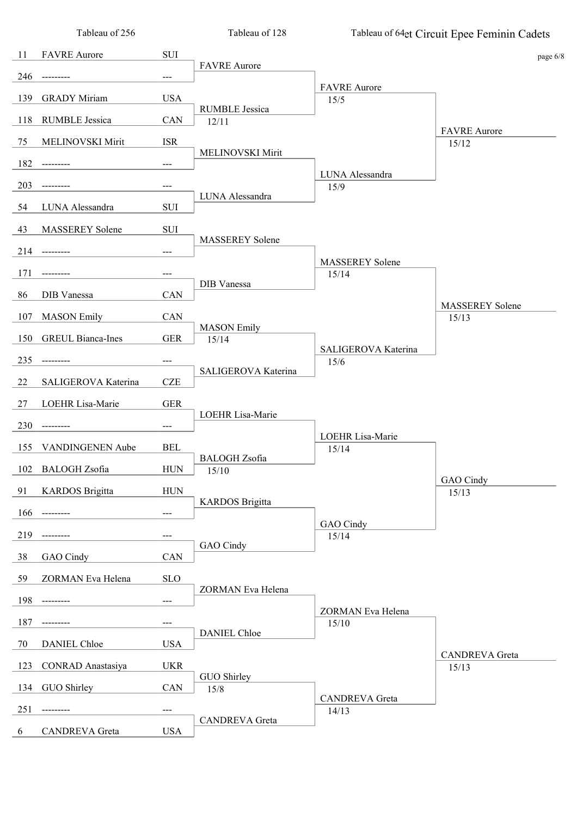|     | Tableau of 256           |                            | Tableau of 128                 |                             | Tableau of 64et Circuit Epee Feminin Cadets |
|-----|--------------------------|----------------------------|--------------------------------|-----------------------------|---------------------------------------------|
| 11  | <b>FAVRE</b> Aurore      | SUI                        |                                |                             | page 6/8                                    |
| 246 |                          | $---$                      | <b>FAVRE</b> Aurore            |                             |                                             |
| 139 | <b>GRADY Miriam</b>      | <b>USA</b>                 |                                | <b>FAVRE</b> Aurore<br>15/5 |                                             |
| 118 | <b>RUMBLE Jessica</b>    | CAN                        | <b>RUMBLE Jessica</b><br>12/11 |                             |                                             |
| 75  | MELINOVSKI Mirit         | <b>ISR</b>                 |                                |                             | <b>FAVRE</b> Aurore<br>15/12                |
| 182 |                          | ---                        | MELINOVSKI Mirit               |                             |                                             |
| 203 |                          | ---                        |                                | LUNA Alessandra<br>15/9     |                                             |
| 54  | LUNA Alessandra          | <b>SUI</b>                 | LUNA Alessandra                |                             |                                             |
|     |                          |                            |                                |                             |                                             |
| 43  | <b>MASSEREY</b> Solene   | SUI                        | <b>MASSEREY Solene</b>         |                             |                                             |
| 214 |                          | $---$                      |                                | <b>MASSEREY</b> Solene      |                                             |
| 171 |                          | ---                        | DIB Vanessa                    | 15/14                       |                                             |
| 86  | DIB Vanessa              | CAN                        |                                |                             | <b>MASSEREY</b> Solene                      |
| 107 | <b>MASON</b> Emily       | CAN                        | <b>MASON</b> Emily             |                             | 15/13                                       |
| 150 | <b>GREUL Bianca-Ines</b> | <b>GER</b>                 | 15/14                          | SALIGEROVA Katerina         |                                             |
| 235 | ------                   | ---                        | SALIGEROVA Katerina            | 15/6                        |                                             |
| 22  | SALIGEROVA Katerina      | <b>CZE</b>                 |                                |                             |                                             |
| 27  | LOEHR Lisa-Marie         | <b>GER</b>                 |                                |                             |                                             |
| 230 |                          | $---$                      | LOEHR Lisa-Marie               |                             |                                             |
| 155 | VANDINGENEN Aube         | <b>BEL</b>                 |                                | LOEHR Lisa-Marie<br>15/14   |                                             |
| 102 | <b>BALOGH</b> Zsofia     | <b>HUN</b>                 | <b>BALOGH</b> Zsofia<br>15/10  |                             |                                             |
| 91  | <b>KARDOS</b> Brigitta   | <b>HUN</b>                 |                                |                             | GAO Cindy<br>15/13                          |
| 166 | ----------               | ---                        | <b>KARDOS</b> Brigitta         |                             |                                             |
| 219 |                          | ---                        |                                | GAO Cindy<br>15/14          |                                             |
| 38  | GAO Cindy                | CAN                        | GAO Cindy                      |                             |                                             |
| 59  | ZORMAN Eva Helena        | <b>SLO</b>                 |                                |                             |                                             |
| 198 |                          |                            | ZORMAN Eva Helena              |                             |                                             |
|     |                          | $\qquad \qquad \text{---}$ |                                | ZORMAN Eva Helena           |                                             |
| 187 | -------                  | ---                        | <b>DANIEL Chloe</b>            | 15/10                       |                                             |
| 70  | <b>DANIEL Chloe</b>      | <b>USA</b>                 |                                |                             | <b>CANDREVA</b> Greta                       |
| 123 | <b>CONRAD</b> Anastasiya | <b>UKR</b>                 | GUO Shirley                    |                             | 15/13                                       |
| 134 | GUO Shirley              | CAN                        | 15/8                           | <b>CANDREVA</b> Greta       |                                             |
| 251 |                          | ---                        | <b>CANDREVA</b> Greta          | 14/13                       |                                             |
| 6   | <b>CANDREVA</b> Greta    | <b>USA</b>                 |                                |                             |                                             |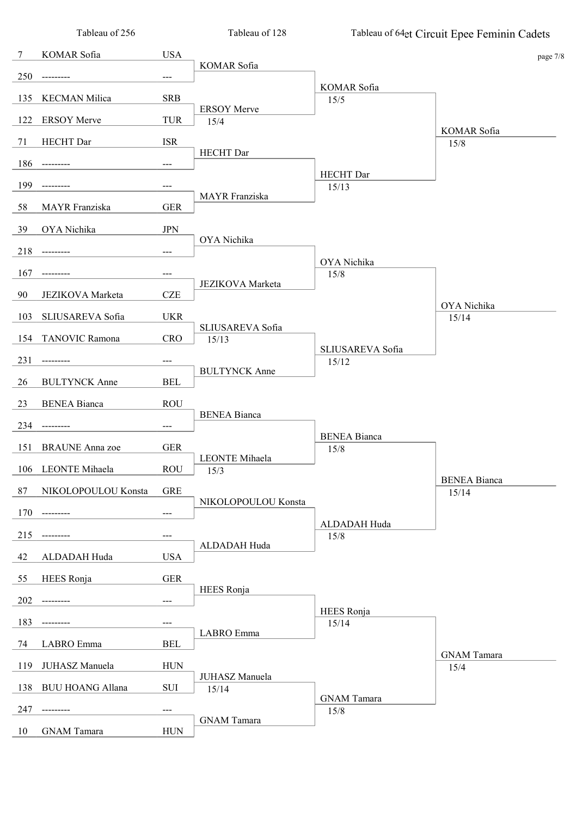| Tableau of 256          |                                                                                                                                                   | Tableau of 128                                                                                                |                                                                                                                                                                                | Tableau of 64et Circuit Epee Feminin Cadets                                                   |
|-------------------------|---------------------------------------------------------------------------------------------------------------------------------------------------|---------------------------------------------------------------------------------------------------------------|--------------------------------------------------------------------------------------------------------------------------------------------------------------------------------|-----------------------------------------------------------------------------------------------|
| KOMAR Sofia             | <b>USA</b>                                                                                                                                        |                                                                                                               |                                                                                                                                                                                | page 7/8                                                                                      |
|                         | $---$                                                                                                                                             |                                                                                                               |                                                                                                                                                                                |                                                                                               |
| <b>KECMAN Milica</b>    | <b>SRB</b>                                                                                                                                        |                                                                                                               |                                                                                                                                                                                |                                                                                               |
|                         |                                                                                                                                                   | <b>ERSOY Merve</b>                                                                                            |                                                                                                                                                                                |                                                                                               |
|                         |                                                                                                                                                   |                                                                                                               |                                                                                                                                                                                | KOMAR Sofia<br>15/8                                                                           |
|                         |                                                                                                                                                   | HECHT Dar                                                                                                     |                                                                                                                                                                                |                                                                                               |
|                         |                                                                                                                                                   |                                                                                                               | <b>HECHT</b> Dar                                                                                                                                                               |                                                                                               |
|                         |                                                                                                                                                   | MAYR Franziska                                                                                                |                                                                                                                                                                                |                                                                                               |
|                         |                                                                                                                                                   |                                                                                                               |                                                                                                                                                                                |                                                                                               |
|                         |                                                                                                                                                   | OYA Nichika                                                                                                   |                                                                                                                                                                                |                                                                                               |
|                         | $---$                                                                                                                                             |                                                                                                               | OYA Nichika                                                                                                                                                                    |                                                                                               |
|                         | ---                                                                                                                                               |                                                                                                               | 15/8                                                                                                                                                                           |                                                                                               |
| JEZIKOVA Marketa        | <b>CZE</b>                                                                                                                                        |                                                                                                               |                                                                                                                                                                                | OYA Nichika                                                                                   |
| SLIUSAREVA Sofia        | <b>UKR</b>                                                                                                                                        |                                                                                                               |                                                                                                                                                                                | 15/14                                                                                         |
| TANOVIC Ramona          | <b>CRO</b>                                                                                                                                        | 15/13                                                                                                         |                                                                                                                                                                                |                                                                                               |
| ------                  | ---                                                                                                                                               |                                                                                                               | 15/12                                                                                                                                                                          |                                                                                               |
| <b>BULTYNCK Anne</b>    | <b>BEL</b>                                                                                                                                        |                                                                                                               |                                                                                                                                                                                |                                                                                               |
| <b>BENEA Bianca</b>     | <b>ROU</b>                                                                                                                                        |                                                                                                               |                                                                                                                                                                                |                                                                                               |
|                         | $---$                                                                                                                                             |                                                                                                               |                                                                                                                                                                                |                                                                                               |
|                         |                                                                                                                                                   |                                                                                                               | <b>BENEA Bianca</b>                                                                                                                                                            |                                                                                               |
|                         |                                                                                                                                                   | LEONTE Mihaela                                                                                                |                                                                                                                                                                                |                                                                                               |
|                         |                                                                                                                                                   |                                                                                                               |                                                                                                                                                                                | <b>BENEA Bianca</b>                                                                           |
|                         |                                                                                                                                                   | NIKOLOPOULOU Konsta                                                                                           |                                                                                                                                                                                | 15/14                                                                                         |
|                         |                                                                                                                                                   |                                                                                                               | ALDADAH Huda                                                                                                                                                                   |                                                                                               |
|                         | ---                                                                                                                                               | ALDADAH Huda                                                                                                  |                                                                                                                                                                                |                                                                                               |
| ALDADAH Huda            | <b>USA</b>                                                                                                                                        |                                                                                                               |                                                                                                                                                                                |                                                                                               |
| <b>HEES</b> Ronja       | <b>GER</b>                                                                                                                                        |                                                                                                               |                                                                                                                                                                                |                                                                                               |
|                         | $\qquad \qquad \text{---}$                                                                                                                        |                                                                                                               |                                                                                                                                                                                |                                                                                               |
| -------                 | ---                                                                                                                                               |                                                                                                               | 15/14                                                                                                                                                                          |                                                                                               |
| LABRO Emma              | <b>BEL</b>                                                                                                                                        |                                                                                                               |                                                                                                                                                                                |                                                                                               |
| JUHASZ Manuela          | <b>HUN</b>                                                                                                                                        |                                                                                                               |                                                                                                                                                                                | <b>GNAM</b> Tamara<br>15/4                                                                    |
| <b>BUU HOANG Allana</b> | SUI                                                                                                                                               | 15/14                                                                                                         |                                                                                                                                                                                |                                                                                               |
| -------                 | ---                                                                                                                                               |                                                                                                               | <b>GNAM</b> Tamara                                                                                                                                                             |                                                                                               |
| <b>GNAM</b> Tamara      | <b>HUN</b>                                                                                                                                        | <b>GNAM</b> Tamara                                                                                            |                                                                                                                                                                                |                                                                                               |
|                         | <b>ERSOY Merve</b><br>HECHT Dar<br>MAYR Franziska<br>OYA Nichika<br><b>BRAUNE</b> Anna zoe<br>LEONTE Mihaela<br>NIKOLOPOULOU Konsta<br>---------- | TUR<br><b>ISR</b><br>---<br>---<br><b>GER</b><br>$\rm JPN$<br><b>GER</b><br><b>ROU</b><br><b>GRE</b><br>$---$ | KOMAR Sofia<br>15/4<br><b>JEZIKOVA</b> Marketa<br>SLIUSAREVA Sofia<br><b>BULTYNCK Anne</b><br><b>BENEA Bianca</b><br>15/3<br><b>HEES</b> Ronja<br>LABRO Emma<br>JUHASZ Manuela | KOMAR Sofia<br>15/5<br>15/13<br>SLIUSAREVA Sofia<br>15/8<br>15/8<br><b>HEES</b> Ronja<br>15/8 |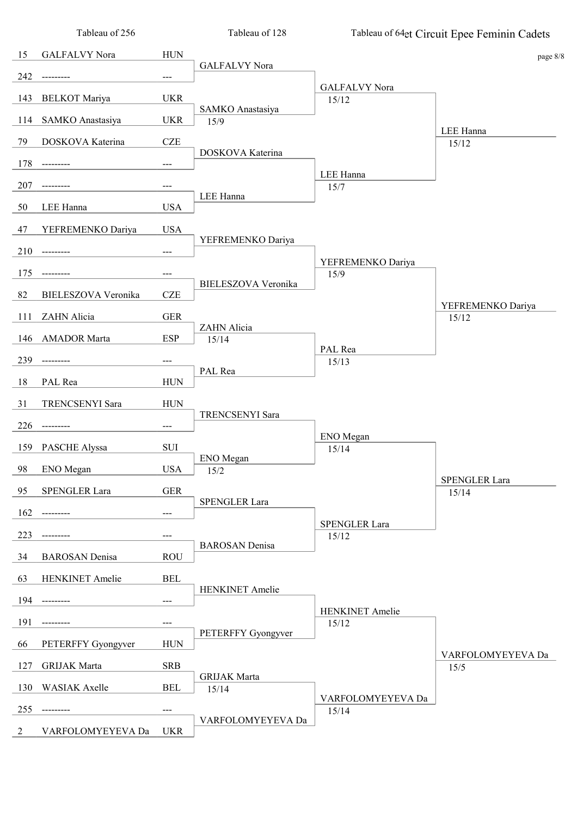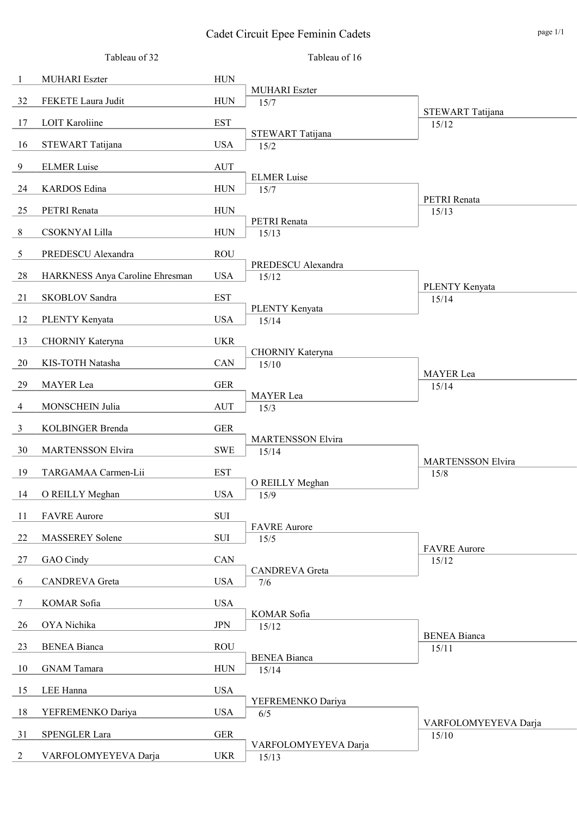### Cadet Circuit Epee Feminin Cadets page 1/1

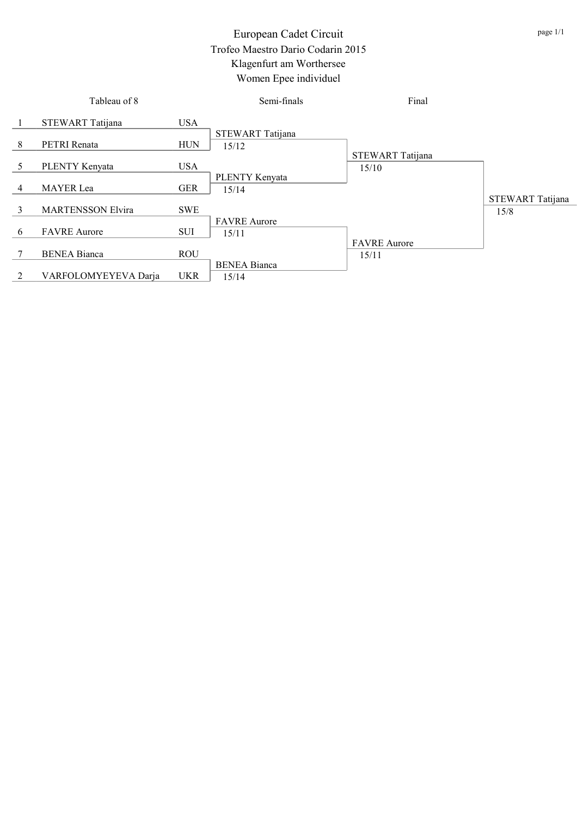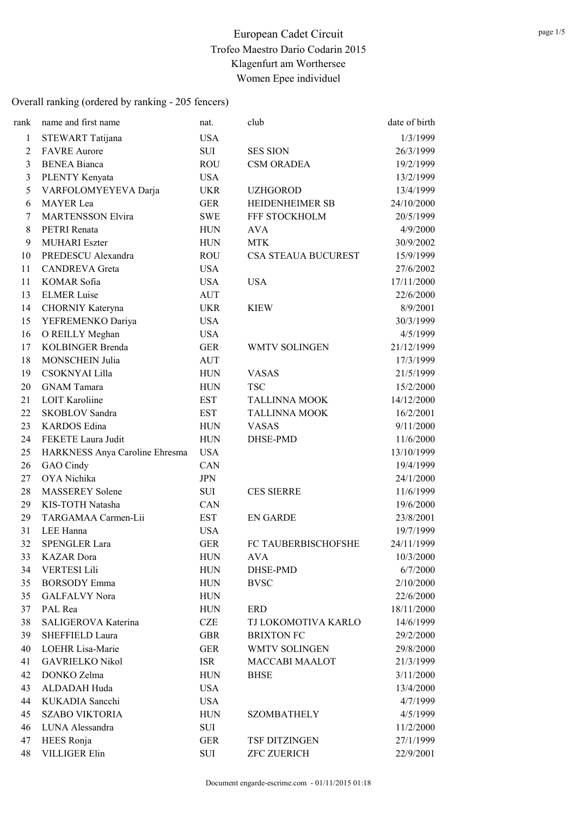| rank         | name and first name            | nat.       | club                       | date of birth |
|--------------|--------------------------------|------------|----------------------------|---------------|
| $\mathbf{1}$ | STEWART Tatijana               | <b>USA</b> |                            | 1/3/1999      |
| 2            | <b>FAVRE</b> Aurore            | SUI        | <b>SES SION</b>            | 26/3/1999     |
| 3            | <b>BENEA Bianca</b>            | <b>ROU</b> | <b>CSM ORADEA</b>          | 19/2/1999     |
| 3            | PLENTY Kenyata                 | <b>USA</b> |                            | 13/2/1999     |
| 5            | VARFOLOMYEYEVA Darja           | <b>UKR</b> | <b>UZHGOROD</b>            | 13/4/1999     |
| 6            | <b>MAYER</b> Lea               | <b>GER</b> | HEIDENHEIMER SB            | 24/10/2000    |
| 7            | <b>MARTENSSON Elvira</b>       | <b>SWE</b> | FFF STOCKHOLM              | 20/5/1999     |
| 8            | PETRI Renata                   | <b>HUN</b> | <b>AVA</b>                 | 4/9/2000      |
| 9            | <b>MUHARI</b> Eszter           | <b>HUN</b> | <b>MTK</b>                 | 30/9/2002     |
| 10           | PREDESCU Alexandra             | <b>ROU</b> | <b>CSA STEAUA BUCUREST</b> | 15/9/1999     |
| 11           | <b>CANDREVA</b> Greta          | <b>USA</b> |                            | 27/6/2002     |
| 11           | KOMAR Sofia                    | <b>USA</b> | <b>USA</b>                 | 17/11/2000    |
| 13           | <b>ELMER Luise</b>             | <b>AUT</b> |                            | 22/6/2000     |
| 14           | CHORNIY Kateryna               | <b>UKR</b> | <b>KIEW</b>                | 8/9/2001      |
| 15           | YEFREMENKO Dariya              | <b>USA</b> |                            | 30/3/1999     |
| 16           | O REILLY Meghan                | <b>USA</b> |                            | 4/5/1999      |
| 17           | <b>KOLBINGER Brenda</b>        | <b>GER</b> | <b>WMTV SOLINGEN</b>       | 21/12/1999    |
| 18           | <b>MONSCHEIN Julia</b>         | <b>AUT</b> |                            | 17/3/1999     |
| 19           | CSOKNYAI Lilla                 | <b>HUN</b> | <b>VASAS</b>               | 21/5/1999     |
| 20           | <b>GNAM Tamara</b>             | <b>HUN</b> | <b>TSC</b>                 | 15/2/2000     |
| 21           | <b>LOIT Karoliine</b>          | <b>EST</b> | <b>TALLINNA MOOK</b>       | 14/12/2000    |
| 22           | <b>SKOBLOV</b> Sandra          | <b>EST</b> | <b>TALLINNA MOOK</b>       | 16/2/2001     |
| 23           | <b>KARDOS</b> Edina            | <b>HUN</b> | <b>VASAS</b>               | 9/11/2000     |
| 24           | FEKETE Laura Judit             | <b>HUN</b> | DHSE-PMD                   | 11/6/2000     |
| 25           | HARKNESS Anya Caroline Ehresma | <b>USA</b> |                            | 13/10/1999    |
| 26           | GAO Cindy                      | CAN        |                            | 19/4/1999     |
| 27           | OYA Nichika                    | <b>JPN</b> |                            | 24/1/2000     |
| 28           | <b>MASSEREY Solene</b>         | SUI        | <b>CES SIERRE</b>          | 11/6/1999     |
| 29           | KIS-TOTH Natasha               | <b>CAN</b> |                            | 19/6/2000     |
| 29           | TARGAMAA Carmen-Lii            | <b>EST</b> | <b>EN GARDE</b>            | 23/8/2001     |
| 31           | LEE Hanna                      | <b>USA</b> |                            | 19/7/1999     |
| 32           | <b>SPENGLER Lara</b>           | <b>GER</b> | FC TAUBERBISCHOFSHE        | 24/11/1999    |
| 33           | <b>KAZAR</b> Dora              | <b>HUN</b> | <b>AVA</b>                 | 10/3/2000     |
| 34           | <b>VERTESI Lili</b>            | <b>HUN</b> | DHSE-PMD                   | 6/7/2000      |
| 35           | <b>BORSODY</b> Emma            | <b>HUN</b> | <b>BVSC</b>                | 2/10/2000     |
| 35           | <b>GALFALVY Nora</b>           | <b>HUN</b> |                            | 22/6/2000     |
| 37           | PAL Rea                        | <b>HUN</b> | ERD                        | 18/11/2000    |
| 38           | SALIGEROVA Katerina            | <b>CZE</b> | TJ LOKOMOTIVA KARLO        | 14/6/1999     |
| 39           | <b>SHEFFIELD Laura</b>         | <b>GBR</b> | <b>BRIXTON FC</b>          | 29/2/2000     |
| 40           | LOEHR Lisa-Marie               | <b>GER</b> | <b>WMTV SOLINGEN</b>       | 29/8/2000     |
| 41           | <b>GAVRIELKO Nikol</b>         | <b>ISR</b> | <b>MACCABI MAALOT</b>      | 21/3/1999     |
| 42           | DONKO Zelma                    | <b>HUN</b> | <b>BHSE</b>                | 3/11/2000     |
| 43           | ALDADAH Huda                   | <b>USA</b> |                            | 13/4/2000     |
| 44           | KUKADIA Sancchi                | <b>USA</b> |                            | 4/7/1999      |
| 45           | <b>SZABO VIKTORIA</b>          | <b>HUN</b> | <b>SZOMBATHELY</b>         | 4/5/1999      |
| 46           | LUNA Alessandra                | SUI        |                            | 11/2/2000     |
| 47           | HEES Ronja                     | <b>GER</b> | TSF DITZINGEN              | 27/1/1999     |
| 48           | <b>VILLIGER Elin</b>           | SUI        | <b>ZFC ZUERICH</b>         | 22/9/2001     |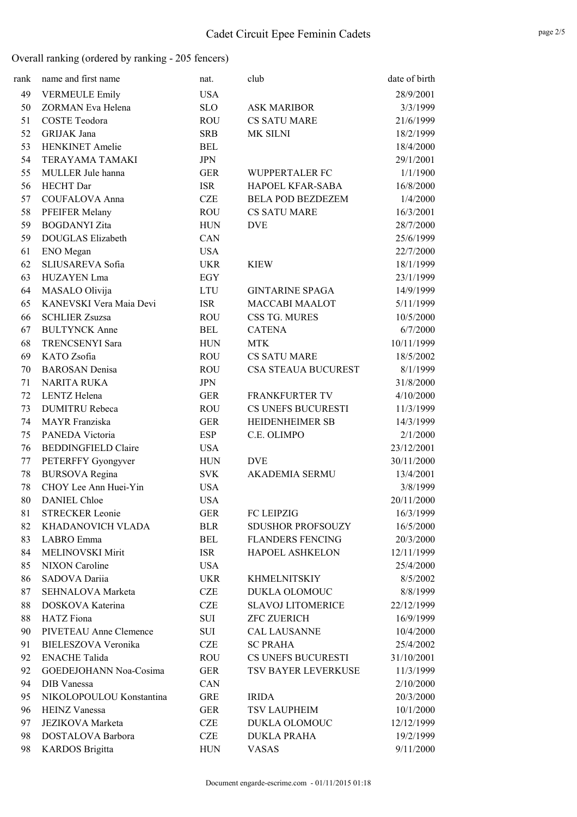| rank | name and first name        | nat.       | club                     | date of birth |
|------|----------------------------|------------|--------------------------|---------------|
| 49   | <b>VERMEULE Emily</b>      | <b>USA</b> |                          | 28/9/2001     |
| 50   | ZORMAN Eva Helena          | <b>SLO</b> | <b>ASK MARIBOR</b>       | 3/3/1999      |
| 51   | <b>COSTE Teodora</b>       | <b>ROU</b> | <b>CS SATU MARE</b>      | 21/6/1999     |
| 52   | GRIJAK Jana                | <b>SRB</b> | MK SILNI                 | 18/2/1999     |
| 53   | <b>HENKINET</b> Amelie     | <b>BEL</b> |                          | 18/4/2000     |
| 54   | <b>TERAYAMA TAMAKI</b>     | <b>JPN</b> |                          | 29/1/2001     |
| 55   | MULLER Jule hanna          | <b>GER</b> | WUPPERTALER FC           | 1/1/1900      |
| 56   | <b>HECHT</b> Dar           | <b>ISR</b> | HAPOEL KFAR-SABA         | 16/8/2000     |
| 57   | <b>COUFALOVA Anna</b>      | <b>CZE</b> | <b>BELA POD BEZDEZEM</b> | 1/4/2000      |
| 58   | PFEIFER Melany             | <b>ROU</b> | <b>CS SATU MARE</b>      | 16/3/2001     |
| 59   | <b>BOGDANYI</b> Zita       | <b>HUN</b> | <b>DVE</b>               | 28/7/2000     |
| 59   | <b>DOUGLAS Elizabeth</b>   | CAN        |                          | 25/6/1999     |
| 61   | ENO Megan                  | <b>USA</b> |                          | 22/7/2000     |
| 62   | SLIUSAREVA Sofia           | <b>UKR</b> | <b>KIEW</b>              | 18/1/1999     |
| 63   | HUZAYEN Lma                | EGY        |                          | 23/1/1999     |
| 64   | MASALO Olivija             | LTU        | <b>GINTARINE SPAGA</b>   | 14/9/1999     |
| 65   | KANEVSKI Vera Maia Devi    | <b>ISR</b> | <b>MACCABI MAALOT</b>    | 5/11/1999     |
| 66   | <b>SCHLIER Zsuzsa</b>      | <b>ROU</b> | CSS TG. MURES            | 10/5/2000     |
| 67   | <b>BULTYNCK Anne</b>       | <b>BEL</b> | <b>CATENA</b>            | 6/7/2000      |
| 68   | <b>TRENCSENYI Sara</b>     | <b>HUN</b> | <b>MTK</b>               | 10/11/1999    |
| 69   | KATO Zsofia                | <b>ROU</b> | <b>CS SATU MARE</b>      | 18/5/2002     |
| 70   | <b>BAROSAN</b> Denisa      | <b>ROU</b> | CSA STEAUA BUCUREST      | 8/1/1999      |
| 71   | <b>NARITA RUKA</b>         | <b>JPN</b> |                          | 31/8/2000     |
| 72   | LENTZ Helena               | <b>GER</b> | <b>FRANKFURTER TV</b>    | 4/10/2000     |
| 73   | <b>DUMITRU Rebeca</b>      | <b>ROU</b> | CS UNEFS BUCURESTI       | 11/3/1999     |
| 74   | <b>MAYR</b> Franziska      | <b>GER</b> | HEIDENHEIMER SB          | 14/3/1999     |
| 75   | PANEDA Victoria            | ESP        | C.E. OLIMPO              | 2/1/2000      |
| 76   | <b>BEDDINGFIELD Claire</b> | <b>USA</b> |                          | 23/12/2001    |
| 77   | PETERFFY Gyongyver         | <b>HUN</b> | <b>DVE</b>               | 30/11/2000    |
| 78   | <b>BURSOVA</b> Regina      | <b>SVK</b> | AKADEMIA SERMU           | 13/4/2001     |
| 78   | CHOY Lee Ann Huei-Yin      | <b>USA</b> |                          | 3/8/1999      |
| 80   | <b>DANIEL Chloe</b>        | <b>USA</b> |                          | 20/11/2000    |
| 81   | <b>STRECKER Leonie</b>     | <b>GER</b> | FC LEIPZIG               | 16/3/1999     |
| 82   | KHADANOVICH VLADA          | <b>BLR</b> | <b>SDUSHOR PROFSOUZY</b> | 16/5/2000     |
| 83   | LABRO Emma                 | BEL        | <b>FLANDERS FENCING</b>  | 20/3/2000     |
| 84   | MELINOVSKI Mirit           | ISR        | HAPOEL ASHKELON          | 12/11/1999    |
| 85   | <b>NIXON</b> Caroline      | <b>USA</b> |                          | 25/4/2000     |
| 86   | SADOVA Dariia              | <b>UKR</b> | <b>KHMELNITSKIY</b>      | 8/5/2002      |
| 87   | SEHNALOVA Marketa          | <b>CZE</b> | DUKLA OLOMOUC            | 8/8/1999      |
| 88   | DOSKOVA Katerina           | <b>CZE</b> | <b>SLAVOJ LITOMERICE</b> | 22/12/1999    |
| 88   | <b>HATZ</b> Fiona          | SUI        | <b>ZFC ZUERICH</b>       | 16/9/1999     |
| 90   | PIVETEAU Anne Clemence     | SUI        | <b>CAL LAUSANNE</b>      | 10/4/2000     |
| 91   | BIELESZOVA Veronika        | <b>CZE</b> | <b>SC PRAHA</b>          | 25/4/2002     |
| 92   | <b>ENACHE Talida</b>       | <b>ROU</b> | CS UNEFS BUCURESTI       | 31/10/2001    |
| 92   | GOEDEJOHANN Noa-Cosima     | <b>GER</b> | TSV BAYER LEVERKUSE      | 11/3/1999     |
| 94   | DIB Vanessa                | CAN        |                          | 2/10/2000     |
| 95   | NIKOLOPOULOU Konstantina   | <b>GRE</b> | <b>IRIDA</b>             | 20/3/2000     |
| 96   | <b>HEINZ Vanessa</b>       | <b>GER</b> | TSV LAUPHEIM             | 10/1/2000     |
| 97   | <b>JEZIKOVA</b> Marketa    | CZE        | DUKLA OLOMOUC            | 12/12/1999    |
| 98   | DOSTALOVA Barbora          | <b>CZE</b> | <b>DUKLA PRAHA</b>       | 19/2/1999     |
| 98   | <b>KARDOS</b> Brigitta     | <b>HUN</b> | <b>VASAS</b>             | 9/11/2000     |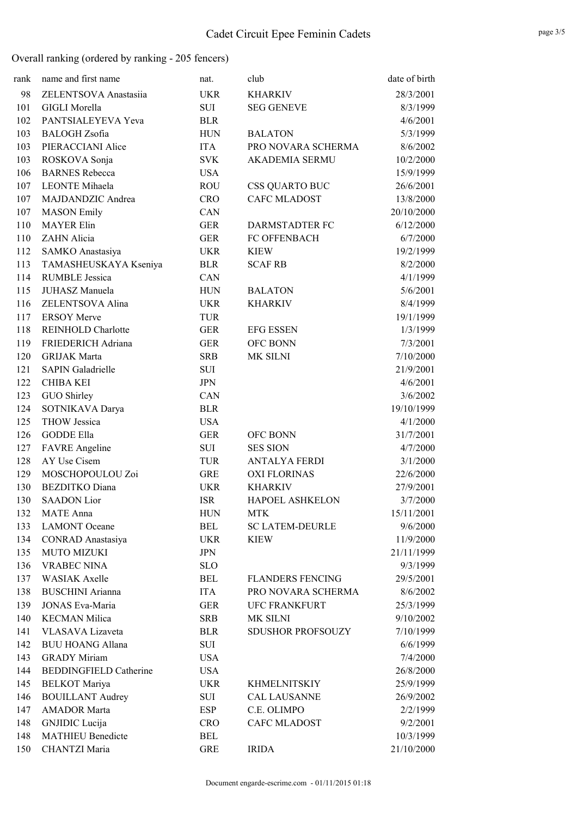| rank | name and first name           | nat.       | club                     | date of birth |
|------|-------------------------------|------------|--------------------------|---------------|
| 98   | ZELENTSOVA Anastasiia         | <b>UKR</b> | <b>KHARKIV</b>           | 28/3/2001     |
| 101  | <b>GIGLI Morella</b>          | SUI        | <b>SEG GENEVE</b>        | 8/3/1999      |
| 102  | PANTSIALEYEVA Yeva            | <b>BLR</b> |                          | 4/6/2001      |
| 103  | <b>BALOGH</b> Zsofia          | <b>HUN</b> | <b>BALATON</b>           | 5/3/1999      |
| 103  | PIERACCIANI Alice             | <b>ITA</b> | PRO NOVARA SCHERMA       | 8/6/2002      |
| 103  | ROSKOVA Sonja                 | SVK        | <b>AKADEMIA SERMU</b>    | 10/2/2000     |
| 106  | <b>BARNES</b> Rebecca         | <b>USA</b> |                          | 15/9/1999     |
| 107  | <b>LEONTE</b> Mihaela         | <b>ROU</b> | <b>CSS QUARTO BUC</b>    | 26/6/2001     |
| 107  | MAJDANDZIC Andrea             | <b>CRO</b> | <b>CAFC MLADOST</b>      | 13/8/2000     |
| 107  | <b>MASON</b> Emily            | CAN        |                          | 20/10/2000    |
| 110  | <b>MAYER Elin</b>             | <b>GER</b> | DARMSTADTER FC           | 6/12/2000     |
| 110  | ZAHN Alicia                   | <b>GER</b> | FC OFFENBACH             | 6/7/2000      |
| 112  | SAMKO Anastasiya              | <b>UKR</b> | <b>KIEW</b>              | 19/2/1999     |
| 113  | TAMASHEUSKAYA Kseniya         | <b>BLR</b> | <b>SCAF RB</b>           | 8/2/2000      |
| 114  | <b>RUMBLE Jessica</b>         | CAN        |                          | 4/1/1999      |
| 115  | JUHASZ Manuela                | <b>HUN</b> | <b>BALATON</b>           | 5/6/2001      |
| 116  | ZELENTSOVA Alina              | <b>UKR</b> | <b>KHARKIV</b>           | 8/4/1999      |
| 117  | <b>ERSOY Merve</b>            | <b>TUR</b> |                          | 19/1/1999     |
| 118  | <b>REINHOLD Charlotte</b>     | <b>GER</b> | <b>EFG ESSEN</b>         | 1/3/1999      |
| 119  | FRIEDERICH Adriana            | <b>GER</b> | OFC BONN                 | 7/3/2001      |
| 120  | <b>GRIJAK Marta</b>           | <b>SRB</b> | MK SILNI                 | 7/10/2000     |
| 121  | <b>SAPIN Galadrielle</b>      | SUI        |                          | 21/9/2001     |
| 122  | <b>CHIBA KEI</b>              | JPN        |                          | 4/6/2001      |
| 123  | GUO Shirley                   | CAN        |                          | 3/6/2002      |
| 124  | SOTNIKAVA Darya               | <b>BLR</b> |                          | 19/10/1999    |
| 125  | <b>THOW Jessica</b>           | <b>USA</b> |                          | 4/1/2000      |
| 126  | <b>GODDE Ella</b>             | <b>GER</b> | OFC BONN                 | 31/7/2001     |
| 127  | <b>FAVRE</b> Angeline         | SUI        | <b>SES SION</b>          | 4/7/2000      |
| 128  | AY Use Cisem                  | TUR        | <b>ANTALYA FERDI</b>     | 3/1/2000      |
| 129  | MOSCHOPOULOU Zoi              | <b>GRE</b> | <b>OXI FLORINAS</b>      | 22/6/2000     |
| 130  | <b>BEZDITKO</b> Diana         | <b>UKR</b> | <b>KHARKIV</b>           | 27/9/2001     |
| 130  | <b>SAADON</b> Lior            | <b>ISR</b> | <b>HAPOEL ASHKELON</b>   | 3/7/2000      |
| 132  | <b>MATE</b> Anna              | <b>HUN</b> | <b>MTK</b>               | 15/11/2001    |
| 133  | <b>LAMONT</b> Oceane          | <b>BEL</b> | <b>SC LATEM-DEURLE</b>   | 9/6/2000      |
| 134  | <b>CONRAD</b> Anastasiya      | <b>UKR</b> | <b>KIEW</b>              | 11/9/2000     |
| 135  | <b>MUTO MIZUKI</b>            | <b>JPN</b> |                          | 21/11/1999    |
| 136  | <b>VRABEC NINA</b>            | <b>SLO</b> |                          | 9/3/1999      |
| 137  | <b>WASIAK Axelle</b>          | <b>BEL</b> | <b>FLANDERS FENCING</b>  | 29/5/2001     |
| 138  | <b>BUSCHINI</b> Arianna       | <b>ITA</b> | PRO NOVARA SCHERMA       | 8/6/2002      |
| 139  | <b>JONAS Eva-Maria</b>        | <b>GER</b> | <b>UFC FRANKFURT</b>     | 25/3/1999     |
| 140  | <b>KECMAN Milica</b>          | <b>SRB</b> | MK SILNI                 | 9/10/2002     |
| 141  | VLASAVA Lizaveta              | <b>BLR</b> | <b>SDUSHOR PROFSOUZY</b> | 7/10/1999     |
| 142  | <b>BUU HOANG Allana</b>       | SUI        |                          | 6/6/1999      |
| 143  | <b>GRADY Miriam</b>           | <b>USA</b> |                          | 7/4/2000      |
| 144  | <b>BEDDINGFIELD Catherine</b> | <b>USA</b> |                          | 26/8/2000     |
| 145  | <b>BELKOT</b> Mariya          | <b>UKR</b> | <b>KHMELNITSKIY</b>      | 25/9/1999     |
| 146  | <b>BOUILLANT Audrey</b>       | SUI        | <b>CAL LAUSANNE</b>      | 26/9/2002     |
| 147  | <b>AMADOR Marta</b>           | <b>ESP</b> | C.E. OLIMPO              | 2/2/1999      |
| 148  | GNJIDIC Lucija                | <b>CRO</b> | <b>CAFC MLADOST</b>      | 9/2/2001      |
| 148  | <b>MATHIEU Benedicte</b>      | BEL        |                          | 10/3/1999     |
| 150  | CHANTZI Maria                 | <b>GRE</b> | <b>IRIDA</b>             | 21/10/2000    |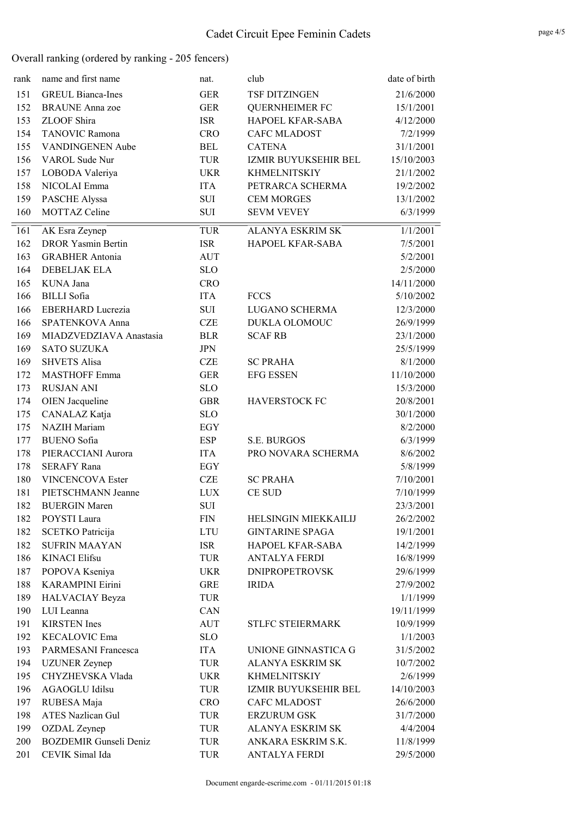| rank | name and first name           | nat.       | club                    | date of birth |
|------|-------------------------------|------------|-------------------------|---------------|
| 151  | <b>GREUL Bianca-Ines</b>      | <b>GER</b> | TSF DITZINGEN           | 21/6/2000     |
| 152  | <b>BRAUNE</b> Anna zoe        | <b>GER</b> | <b>QUERNHEIMER FC</b>   | 15/1/2001     |
| 153  | ZLOOF Shira                   | <b>ISR</b> | HAPOEL KFAR-SABA        | 4/12/2000     |
| 154  | <b>TANOVIC Ramona</b>         | <b>CRO</b> | <b>CAFC MLADOST</b>     | 7/2/1999      |
| 155  | <b>VANDINGENEN Aube</b>       | <b>BEL</b> | <b>CATENA</b>           | 31/1/2001     |
| 156  | VAROL Sude Nur                | <b>TUR</b> | IZMIR BUYUKSEHIR BEL    | 15/10/2003    |
| 157  | LOBODA Valeriya               | <b>UKR</b> | <b>KHMELNITSKIY</b>     | 21/1/2002     |
| 158  | NICOLAI Emma                  | <b>ITA</b> | PETRARCA SCHERMA        | 19/2/2002     |
| 159  | PASCHE Alyssa                 | SUI        | <b>CEM MORGES</b>       | 13/1/2002     |
| 160  | <b>MOTTAZ Celine</b>          | <b>SUI</b> | <b>SEVM VEVEY</b>       | 6/3/1999      |
| 161  | AK Esra Zeynep                | <b>TUR</b> | <b>ALANYA ESKRIM SK</b> | 1/1/2001      |
| 162  | <b>DROR Yasmin Bertin</b>     | <b>ISR</b> | HAPOEL KFAR-SABA        | 7/5/2001      |
| 163  | <b>GRABHER Antonia</b>        | AUT        |                         | 5/2/2001      |
| 164  | <b>DEBELJAK ELA</b>           | <b>SLO</b> |                         | 2/5/2000      |
| 165  | KUNA Jana                     | <b>CRO</b> |                         | 14/11/2000    |
| 166  | <b>BILLI</b> Sofia            | <b>ITA</b> | <b>FCCS</b>             | 5/10/2002     |
| 166  | <b>EBERHARD Lucrezia</b>      | SUI        | LUGANO SCHERMA          | 12/3/2000     |
| 166  | SPATENKOVA Anna               | <b>CZE</b> | DUKLA OLOMOUC           | 26/9/1999     |
| 169  | MIADZVEDZIAVA Anastasia       | <b>BLR</b> | <b>SCAF RB</b>          | 23/1/2000     |
| 169  | <b>SATO SUZUKA</b>            | <b>JPN</b> |                         | 25/5/1999     |
| 169  | <b>SHVETS Alisa</b>           | <b>CZE</b> | <b>SC PRAHA</b>         | 8/1/2000      |
| 172  | <b>MASTHOFF Emma</b>          | <b>GER</b> | <b>EFG ESSEN</b>        | 11/10/2000    |
| 173  | <b>RUSJAN ANI</b>             | <b>SLO</b> |                         | 15/3/2000     |
| 174  | <b>OIEN</b> Jacqueline        | <b>GBR</b> | <b>HAVERSTOCK FC</b>    | 20/8/2001     |
| 175  | CANALAZ Katja                 | <b>SLO</b> |                         | 30/1/2000     |
| 175  | <b>NAZIH</b> Mariam           | EGY        |                         | 8/2/2000      |
| 177  | <b>BUENO</b> Sofia            | <b>ESP</b> | <b>S.E. BURGOS</b>      | 6/3/1999      |
| 178  | PIERACCIANI Aurora            | <b>ITA</b> | PRO NOVARA SCHERMA      | 8/6/2002      |
| 178  | <b>SERAFY Rana</b>            | EGY        |                         | 5/8/1999      |
| 180  | <b>VINCENCOVA Ester</b>       | <b>CZE</b> | <b>SC PRAHA</b>         | 7/10/2001     |
| 181  | PIETSCHMANN Jeanne            | <b>LUX</b> | <b>CE SUD</b>           | 7/10/1999     |
| 182  | <b>BUERGIN Maren</b>          | SUI        |                         | 23/3/2001     |
| 182  | POYSTI Laura                  | <b>FIN</b> | HELSINGIN MIEKKAILIJ    | 26/2/2002     |
| 182  | <b>SCETKO Patricija</b>       | <b>LTU</b> | <b>GINTARINE SPAGA</b>  | 19/1/2001     |
| 182  | <b>SUFRIN MAAYAN</b>          | <b>ISR</b> | HAPOEL KFAR-SABA        | 14/2/1999     |
| 186  | <b>KINACI Elifsu</b>          | <b>TUR</b> | <b>ANTALYA FERDI</b>    | 16/8/1999     |
| 187  | POPOVA Kseniya                | <b>UKR</b> | <b>DNIPROPETROVSK</b>   | 29/6/1999     |
| 188  | <b>KARAMPINI Eirini</b>       | <b>GRE</b> | <b>IRIDA</b>            | 27/9/2002     |
| 189  | HALVACIAY Beyza               | <b>TUR</b> |                         | 1/1/1999      |
| 190  | LUI Leanna                    | CAN        |                         | 19/11/1999    |
| 191  | <b>KIRSTEN</b> Ines           | AUT        | STLFC STEIERMARK        | 10/9/1999     |
| 192  | <b>KECALOVIC Ema</b>          | <b>SLO</b> |                         | 1/1/2003      |
| 193  | PARMESANI Francesca           | <b>ITA</b> | UNIONE GINNASTICA G     | 31/5/2002     |
| 194  | <b>UZUNER</b> Zeynep          | TUR        | <b>ALANYA ESKRIM SK</b> | 10/7/2002     |
| 195  | CHYZHEVSKA Vlada              | <b>UKR</b> | <b>KHMELNITSKIY</b>     | 2/6/1999      |
| 196  | <b>AGAOGLU Idilsu</b>         | TUR        | IZMIR BUYUKSEHIR BEL    | 14/10/2003    |
| 197  | RUBESA Maja                   | <b>CRO</b> | <b>CAFC MLADOST</b>     | 26/6/2000     |
| 198  | <b>ATES Nazlican Gul</b>      | TUR        | <b>ERZURUM GSK</b>      | 31/7/2000     |
| 199  | OZDAL Zeynep                  | TUR        | ALANYA ESKRIM SK        | 4/4/2004      |
| 200  | <b>BOZDEMIR Gunseli Deniz</b> | TUR        | ANKARA ESKRIM S.K.      | 11/8/1999     |
| 201  | CEVIK Simal Ida               | TUR        | <b>ANTALYA FERDI</b>    | 29/5/2000     |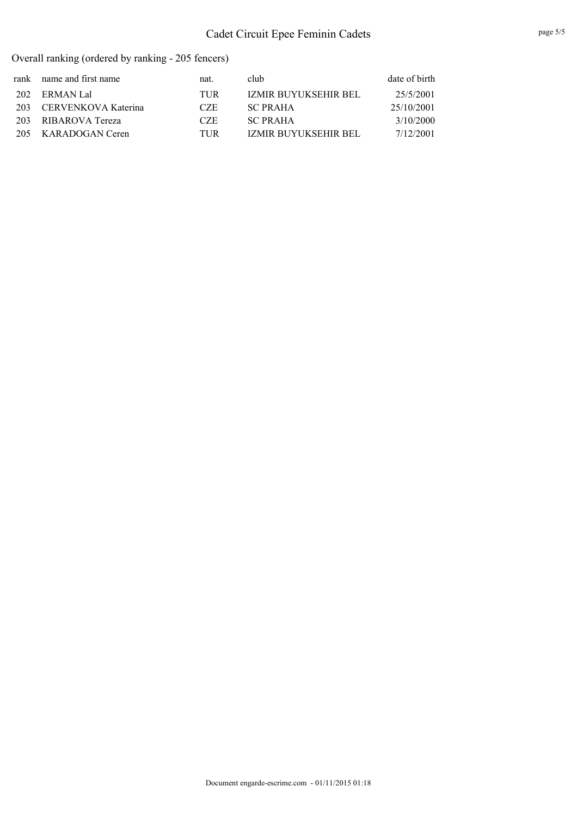| rank name and first name | nat. | club                 | date of birth |
|--------------------------|------|----------------------|---------------|
| 202 ERMAN Lal            | TUR  | IZMIR BUYUKSEHIR BEL | 25/5/2001     |
| 203 CERVENKOVA Katerina  | CZE. | <b>SC PRAHA</b>      | 25/10/2001    |
| 203 RIBAROVA Tereza      | CZE. | <b>SC PRAHA</b>      | 3/10/2000     |
| 205 KARADOGAN Ceren      | TUR  | IZMIR BUYUKSEHIR BEL | 7/12/2001     |